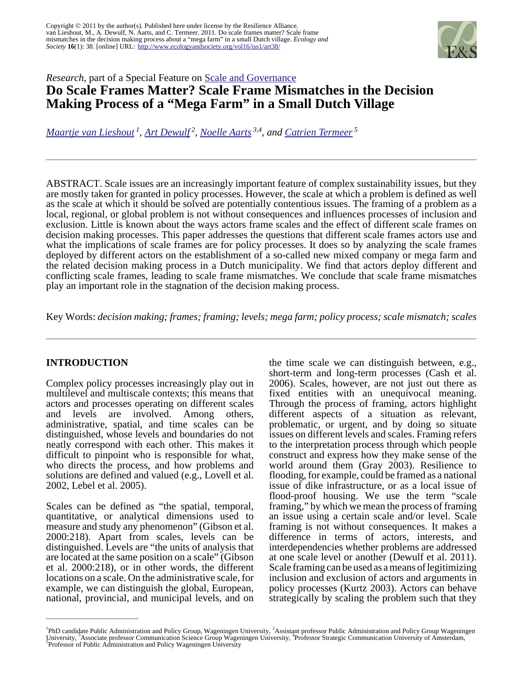

## *Research*, part of a Special Feature on [Scale and Governance](http://www.ecologyandsociety.org/viewissue.php?sf=57) **Do Scale Frames Matter? Scale Frame Mismatches in the Decision Making Process of a "Mega Farm" in a Small Dutch Village**

*[Maartje van Lieshout](mailto:maartje.vanlieshout@wur.nl)<sup>1</sup> , [Art Dewulf](mailto:art.dewulf@wur.nl)<sup>2</sup> , [Noelle Aarts](mailto:noelle.aarts@wur.nl) 3,4, and [Catrien Termeer](mailto:katrien.termeer@wur.nl)<sup>5</sup>*

ABSTRACT. Scale issues are an increasingly important feature of complex sustainability issues, but they are mostly taken for granted in policy processes. However, the scale at which a problem is defined as well as the scale at which it should be solved are potentially contentious issues. The framing of a problem as a local, regional, or global problem is not without consequences and influences processes of inclusion and exclusion. Little is known about the ways actors frame scales and the effect of different scale frames on decision making processes. This paper addresses the questions that different scale frames actors use and what the implications of scale frames are for policy processes. It does so by analyzing the scale frames deployed by different actors on the establishment of a so-called new mixed company or mega farm and the related decision making process in a Dutch municipality. We find that actors deploy different and conflicting scale frames, leading to scale frame mismatches. We conclude that scale frame mismatches play an important role in the stagnation of the decision making process.

Key Words: *decision making; frames; framing; levels; mega farm; policy process; scale mismatch; scales*

## **INTRODUCTION**

Complex policy processes increasingly play out in multilevel and multiscale contexts; this means that actors and processes operating on different scales and levels are involved. Among others, administrative, spatial, and time scales can be distinguished, whose levels and boundaries do not neatly correspond with each other. This makes it difficult to pinpoint who is responsible for what, who directs the process, and how problems and solutions are defined and valued (e.g., Lovell et al. 2002, Lebel et al. 2005).

Scales can be defined as "the spatial, temporal, quantitative, or analytical dimensions used to measure and study any phenomenon" (Gibson et al. 2000:218). Apart from scales, levels can be distinguished. Levels are "the units of analysis that are located at the same position on a scale" (Gibson et al. 2000:218), or in other words, the different locations on a scale. On the administrative scale, for example, we can distinguish the global, European, national, provincial, and municipal levels, and on

the time scale we can distinguish between, e.g., short-term and long-term processes (Cash et al. 2006). Scales, however, are not just out there as fixed entities with an unequivocal meaning. Through the process of framing, actors highlight different aspects of a situation as relevant, problematic, or urgent, and by doing so situate issues on different levels and scales. Framing refers to the interpretation process through which people construct and express how they make sense of the world around them (Gray 2003). Resilience to flooding, for example, could be framed as a national issue of dike infrastructure, or as a local issue of flood-proof housing. We use the term "scale framing," by which we mean the process of framing an issue using a certain scale and/or level. Scale framing is not without consequences. It makes a difference in terms of actors, interests, and interdependencies whether problems are addressed at one scale level or another (Dewulf et al. 2011). Scale framing can be used as a means of legitimizing inclusion and exclusion of actors and arguments in policy processes (Kurtz 2003). Actors can behave strategically by scaling the problem such that they

<sup>&</sup>lt;sup>1</sup>PhD candidate Public Administration and Policy Group, Wageningen University, <sup>2</sup>Assistant professor Public Administration and Policy Group Wageningen University, <sup>3</sup>Associate professor Communication Science Group Wageningen University, <sup>4</sup>Professor Strategic Communication University of Amsterdam, <sup>5</sup>Professor of Public Administration and Policy Wageningen University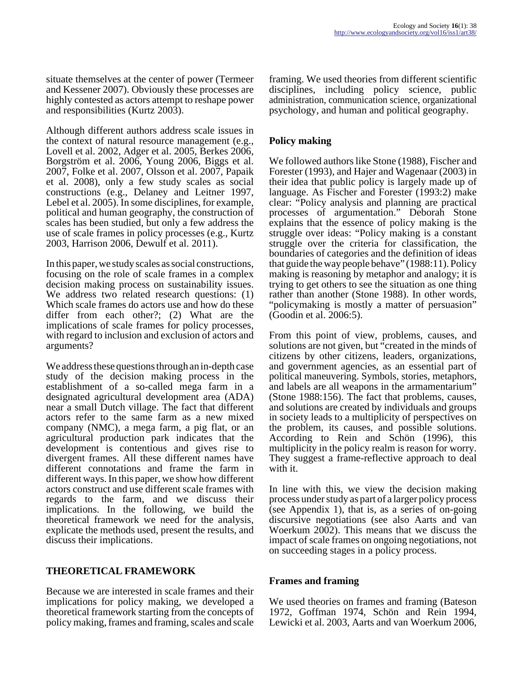situate themselves at the center of power (Termeer and Kessener 2007). Obviously these processes are highly contested as actors attempt to reshape power and responsibilities (Kurtz 2003).

Although different authors address scale issues in the context of natural resource management (e.g., Lovell et al. 2002, Adger et al. 2005, Berkes 2006, Borgström et al. 2006, Young 2006, Biggs et al. 2007, Folke et al. 2007, Olsson et al. 2007, Papaik et al. 2008), only a few study scales as social constructions (e.g., Delaney and Leitner 1997, Lebel et al. 2005). In some disciplines, for example, political and human geography, the construction of scales has been studied, but only a few address the use of scale frames in policy processes (e.g., Kurtz 2003, Harrison 2006, Dewulf et al. 2011).

In this paper, we study scales as social constructions, focusing on the role of scale frames in a complex decision making process on sustainability issues. We address two related research questions: (1) Which scale frames do actors use and how do these differ from each other?; (2) What are the implications of scale frames for policy processes, with regard to inclusion and exclusion of actors and arguments?

We address these questions through an in-depth case study of the decision making process in the establishment of a so-called mega farm in a designated agricultural development area (ADA) near a small Dutch village. The fact that different actors refer to the same farm as a new mixed company (NMC), a mega farm, a pig flat, or an agricultural production park indicates that the development is contentious and gives rise to divergent frames. All these different names have different connotations and frame the farm in different ways. In this paper, we show how different actors construct and use different scale frames with regards to the farm, and we discuss their implications. In the following, we build the theoretical framework we need for the analysis, explicate the methods used, present the results, and discuss their implications.

## **THEORETICAL FRAMEWORK**

Because we are interested in scale frames and their implications for policy making, we developed a theoretical framework starting from the concepts of policy making, frames and framing, scales and scale

framing. We used theories from different scientific disciplines, including policy science, public administration, communication science, organizational psychology, and human and political geography.

### **Policy making**

We followed authors like Stone (1988), Fischer and Forester (1993), and Hajer and Wagenaar (2003) in their idea that public policy is largely made up of language. As Fischer and Forester (1993:2) make clear: "Policy analysis and planning are practical processes of argumentation." Deborah Stone explains that the essence of policy making is the struggle over ideas: "Policy making is a constant struggle over the criteria for classification, the boundaries of categories and the definition of ideas that guide the way people behave" (1988:11). Policy making is reasoning by metaphor and analogy; it is trying to get others to see the situation as one thing rather than another (Stone 1988). In other words, "policymaking is mostly a matter of persuasion" (Goodin et al. 2006:5).

From this point of view, problems, causes, and solutions are not given, but "created in the minds of citizens by other citizens, leaders, organizations, and government agencies, as an essential part of political maneuvering. Symbols, stories, metaphors, and labels are all weapons in the armamentarium" (Stone 1988:156). The fact that problems, causes, and solutions are created by individuals and groups in society leads to a multiplicity of perspectives on the problem, its causes, and possible solutions. According to Rein and Schön (1996), this multiplicity in the policy realm is reason for worry. They suggest a frame-reflective approach to deal with it.

In line with this, we view the decision making process under study as part of a larger policy process (see Appendix 1), that is, as a series of on-going discursive negotiations (see also Aarts and van Woerkum 2002). This means that we discuss the impact of scale frames on ongoing negotiations, not on succeeding stages in a policy process.

### **Frames and framing**

We used theories on frames and framing (Bateson 1972, Goffman 1974, Schön and Rein 1994, Lewicki et al. 2003, Aarts and van Woerkum 2006,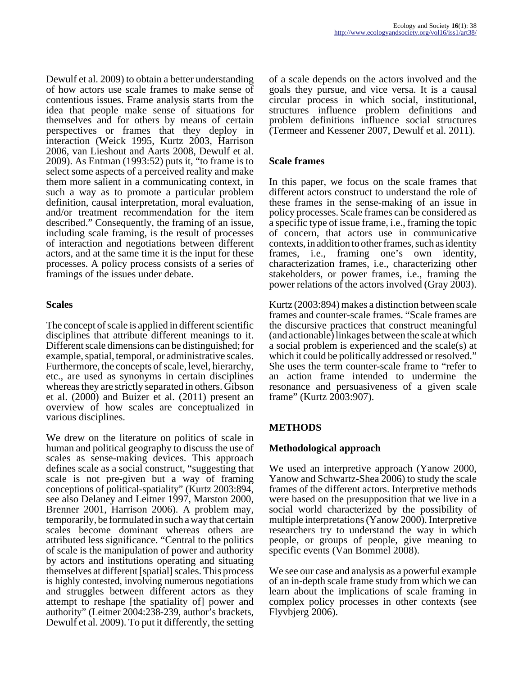Dewulf et al. 2009) to obtain a better understanding of how actors use scale frames to make sense of contentious issues. Frame analysis starts from the idea that people make sense of situations for themselves and for others by means of certain perspectives or frames that they deploy in interaction (Weick 1995, Kurtz 2003, Harrison 2006, van Lieshout and Aarts 2008, Dewulf et al. 2009). As Entman (1993:52) puts it, "to frame is to select some aspects of a perceived reality and make them more salient in a communicating context, in such a way as to promote a particular problem definition, causal interpretation, moral evaluation, and/or treatment recommendation for the item described." Consequently, the framing of an issue, including scale framing, is the result of processes of interaction and negotiations between different actors, and at the same time it is the input for these processes. A policy process consists of a series of framings of the issues under debate.

#### **Scales**

The concept of scale is applied in different scientific disciplines that attribute different meanings to it. Different scale dimensions can be distinguished; for example, spatial, temporal, or administrative scales. Furthermore, the concepts of scale, level, hierarchy, etc., are used as synonyms in certain disciplines whereas they are strictly separated in others. Gibson et al. (2000) and Buizer et al. (2011) present an overview of how scales are conceptualized in various disciplines.

We drew on the literature on politics of scale in human and political geography to discuss the use of scales as sense-making devices. This approach defines scale as a social construct, "suggesting that scale is not pre-given but a way of framing conceptions of political-spatiality" (Kurtz 2003:894, see also Delaney and Leitner 1997, Marston 2000, Brenner 2001, Harrison 2006). A problem may, temporarily, be formulated in such a way that certain scales become dominant whereas others are attributed less significance. "Central to the politics of scale is the manipulation of power and authority by actors and institutions operating and situating themselves at different [spatial] scales. This process is highly contested, involving numerous negotiations and struggles between different actors as they attempt to reshape [the spatiality of] power and authority" (Leitner 2004:238-239, author's brackets, Dewulf et al. 2009). To put it differently, the setting

of a scale depends on the actors involved and the goals they pursue, and vice versa. It is a causal circular process in which social, institutional, structures influence problem definitions and problem definitions influence social structures (Termeer and Kessener 2007, Dewulf et al. 2011).

### **Scale frames**

In this paper, we focus on the scale frames that different actors construct to understand the role of these frames in the sense-making of an issue in policy processes. Scale frames can be considered as a specific type of issue frame, i.e., framing the topic of concern, that actors use in communicative contexts, in addition to other frames, such as identity frames, i.e., framing one's own identity, characterization frames, i.e., characterizing other stakeholders, or power frames, i.e., framing the power relations of the actors involved (Gray 2003).

Kurtz (2003:894) makes a distinction between scale frames and counter-scale frames. "Scale frames are the discursive practices that construct meaningful (and actionable) linkages between the scale at which a social problem is experienced and the scale(s) at which it could be politically addressed or resolved." She uses the term counter-scale frame to "refer to an action frame intended to undermine the resonance and persuasiveness of a given scale frame" (Kurtz 2003:907).

## **METHODS**

#### **Methodological approach**

We used an interpretive approach (Yanow 2000, Yanow and Schwartz-Shea 2006) to study the scale frames of the different actors. Interpretive methods were based on the presupposition that we live in a social world characterized by the possibility of multiple interpretations (Yanow 2000). Interpretive researchers try to understand the way in which people, or groups of people, give meaning to specific events (Van Bommel 2008).

We see our case and analysis as a powerful example of an in-depth scale frame study from which we can learn about the implications of scale framing in complex policy processes in other contexts (see Flyvbjerg 2006).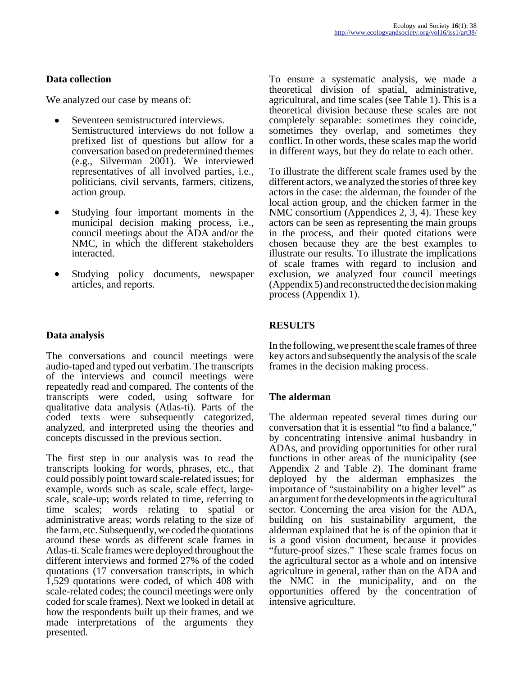### **Data collection**

We analyzed our case by means of:

- Seventeen semistructured interviews. Semistructured interviews do not follow a prefixed list of questions but allow for a conversation based on predetermined themes (e.g., Silverman 2001). We interviewed representatives of all involved parties, i.e., politicians, civil servants, farmers, citizens, action group.
- Studying four important moments in the municipal decision making process, i.e., council meetings about the ADA and/or the NMC, in which the different stakeholders interacted.
- Studying policy documents, newspaper articles, and reports.

### **Data analysis**

The conversations and council meetings were audio-taped and typed out verbatim. The transcripts of the interviews and council meetings were repeatedly read and compared. The contents of the transcripts were coded, using software for qualitative data analysis (Atlas-ti). Parts of the coded texts were subsequently categorized, analyzed, and interpreted using the theories and concepts discussed in the previous section.

The first step in our analysis was to read the transcripts looking for words, phrases, etc., that could possibly point toward scale-related issues; for example, words such as scale, scale effect, largescale, scale-up; words related to time, referring to time scales; words relating to spatial or administrative areas; words relating to the size of the farm, etc. Subsequently, we coded the quotations around these words as different scale frames in Atlas-ti. Scale frames were deployed throughout the different interviews and formed 27% of the coded quotations (17 conversation transcripts, in which 1,529 quotations were coded, of which 408 with scale-related codes; the council meetings were only coded for scale frames). Next we looked in detail at how the respondents built up their frames, and we made interpretations of the arguments they presented.

To ensure a systematic analysis, we made a theoretical division of spatial, administrative, agricultural, and time scales (see Table 1). This is a theoretical division because these scales are not completely separable: sometimes they coincide, sometimes they overlap, and sometimes they conflict. In other words, these scales map the world in different ways, but they do relate to each other.

To illustrate the different scale frames used by the different actors, we analyzed the stories of three key actors in the case: the alderman, the founder of the local action group, and the chicken farmer in the NMC consortium (Appendices 2, 3, 4). These key actors can be seen as representing the main groups in the process, and their quoted citations were chosen because they are the best examples to illustrate our results. To illustrate the implications of scale frames with regard to inclusion and exclusion, we analyzed four council meetings (Appendix 5) and reconstructed the decision making process (Appendix 1).

## **RESULTS**

In the following, we present the scale frames of three key actors and subsequently the analysis of the scale frames in the decision making process.

### **The alderman**

The alderman repeated several times during our conversation that it is essential "to find a balance," by concentrating intensive animal husbandry in ADAs, and providing opportunities for other rural functions in other areas of the municipality (see Appendix 2 and Table 2). The dominant frame deployed by the alderman emphasizes the importance of "sustainability on a higher level" as an argument for the developments in the agricultural sector. Concerning the area vision for the ADA, building on his sustainability argument, the alderman explained that he is of the opinion that it is a good vision document, because it provides "future-proof sizes." These scale frames focus on the agricultural sector as a whole and on intensive agriculture in general, rather than on the ADA and the NMC in the municipality, and on the opportunities offered by the concentration of intensive agriculture.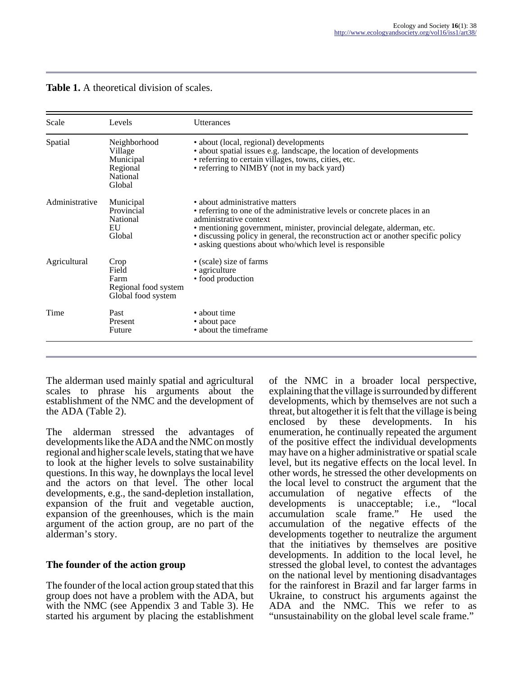| <b>Table 1.</b> A theoretical division of scales. |  |
|---------------------------------------------------|--|
|---------------------------------------------------|--|

| Scale          | Levels                                                                 | Utterances                                                                                                                                                                                                                                                                                                                                                     |  |  |
|----------------|------------------------------------------------------------------------|----------------------------------------------------------------------------------------------------------------------------------------------------------------------------------------------------------------------------------------------------------------------------------------------------------------------------------------------------------------|--|--|
| Spatial        | Neighborhood<br>Village<br>Municipal<br>Regional<br>National<br>Global | • about (local, regional) developments<br>• about spatial issues e.g. landscape, the location of developments<br>• referring to certain villages, towns, cities, etc.<br>• referring to NIMBY (not in my back yard)                                                                                                                                            |  |  |
| Administrative | Municipal<br>Provincial<br>National<br>EU<br>Global                    | • about administrative matters<br>• referring to one of the administrative levels or concrete places in an<br>administrative context<br>• mentioning government, minister, provincial delegate, alderman, etc.<br>• discussing policy in general, the reconstruction act or another specific policy<br>• asking questions about who/which level is responsible |  |  |
| Agricultural   | Crop<br>Field<br>Farm<br>Regional food system<br>Global food system    | • (scale) size of farms<br>• agriculture<br>• food production                                                                                                                                                                                                                                                                                                  |  |  |
| Time           | Past<br>Present<br>Future                                              | • about time<br>• about pace<br>• about the timeframe                                                                                                                                                                                                                                                                                                          |  |  |

The alderman used mainly spatial and agricultural scales to phrase his arguments about the establishment of the NMC and the development of the ADA (Table 2).

The alderman stressed the advantages of developments like the ADA and the NMC on mostly regional and higher scale levels, stating that we have to look at the higher levels to solve sustainability questions. In this way, he downplays the local level and the actors on that level. The other local developments, e.g., the sand-depletion installation, expansion of the fruit and vegetable auction, expansion of the greenhouses, which is the main argument of the action group, are no part of the alderman's story.

### **The founder of the action group**

The founder of the local action group stated that this group does not have a problem with the ADA, but with the NMC (see Appendix 3 and Table 3). He started his argument by placing the establishment of the NMC in a broader local perspective, explaining that the village is surrounded by different developments, which by themselves are not such a threat, but altogether it is felt that the village is being enclosed by these developments. In his enumeration, he continually repeated the argument of the positive effect the individual developments may have on a higher administrative or spatial scale level, but its negative effects on the local level. In other words, he stressed the other developments on the local level to construct the argument that the accumulation of negative effects of the negative effects of the<br>unacceptable: i.e., "local developments is unacceptable; i.e.,  $\text{accumulation}$  scale frame." He use scale frame." He used the accumulation of the negative effects of the developments together to neutralize the argument that the initiatives by themselves are positive developments. In addition to the local level, he stressed the global level, to contest the advantages on the national level by mentioning disadvantages for the rainforest in Brazil and far larger farms in Ukraine, to construct his arguments against the ADA and the NMC. This we refer to as "unsustainability on the global level scale frame."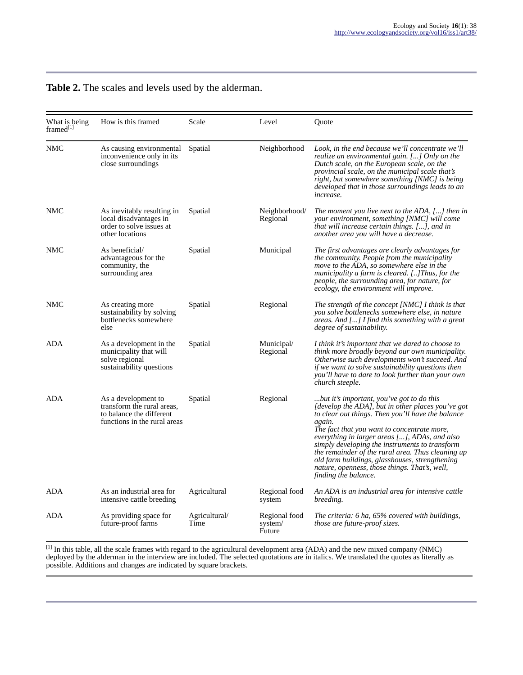|  | Table 2. The scales and levels used by the alderman. |
|--|------------------------------------------------------|
|--|------------------------------------------------------|

| What is being<br>framed <sup>[1]</sup> | How is this framed                                                                                            | Scale                 | Level                              | Ouote                                                                                                                                                                                                                                                                                                                                                                                                                                                                                           |
|----------------------------------------|---------------------------------------------------------------------------------------------------------------|-----------------------|------------------------------------|-------------------------------------------------------------------------------------------------------------------------------------------------------------------------------------------------------------------------------------------------------------------------------------------------------------------------------------------------------------------------------------------------------------------------------------------------------------------------------------------------|
| <b>NMC</b>                             | As causing environmental<br>inconvenience only in its<br>close surroundings                                   | Spatial               | Neighborhood                       | Look, in the end because we'll concentrate we'll<br>realize an environmental gain. [] Only on the<br>Dutch scale, on the European scale, on the<br>provincial scale, on the municipal scale that's<br>right, but somewhere something [NMC] is being<br>developed that in those surroundings leads to an<br><i>increase.</i>                                                                                                                                                                     |
| NMC                                    | As inevitably resulting in<br>local disadvantages in<br>order to solve issues at<br>other locations           | Spatial               | Neighborhood/<br>Regional          | The moment you live next to the ADA, [] then in<br>your environment, something [NMC] will come<br>that will increase certain things. [], and in<br>another area you will have a decrease.                                                                                                                                                                                                                                                                                                       |
| NMC                                    | As beneficial/<br>advantageous for the<br>community, the<br>surrounding area                                  | Spatial               | Municipal                          | The first advantages are clearly advantages for<br>the community. People from the municipality<br>move to the ADA, so somewhere else in the<br>municipality a farm is cleared. [] Thus, for the<br>people, the surrounding area, for nature, for<br>ecology, the environment will improve.                                                                                                                                                                                                      |
| NMC                                    | As creating more<br>sustainability by solving<br>bottlenecks somewhere<br>else                                | Spatial               | Regional                           | The strength of the concept [NMC] I think is that<br>you solve bottlenecks somewhere else, in nature<br>areas. And [] I find this something with a great<br><i>degree of sustainability.</i>                                                                                                                                                                                                                                                                                                    |
| <b>ADA</b>                             | As a development in the<br>municipality that will<br>solve regional<br>sustainability questions               | Spatial               | Municipal/<br>Regional             | I think it's important that we dared to choose to<br>think more broadly beyond our own municipality.<br>Otherwise such developments won't succeed. And<br>if we want to solve sustainability questions then<br>you'll have to dare to look further than your own<br>church steeple.                                                                                                                                                                                                             |
| <b>ADA</b>                             | As a development to<br>transform the rural areas,<br>to balance the different<br>functions in the rural areas | Spatial               | Regional                           | but it's important, you've got to do this<br>[develop the ADA], but in other places you've got<br>to clear out things. Then you'll have the balance<br>again.<br>The fact that you want to concentrate more,<br>everything in larger areas [], ADAs, and also<br>simply developing the instruments to transform<br>the remainder of the rural area. Thus cleaning up<br>old farm buildings, glasshouses, strengthening<br>nature, openness, those things. That's, well,<br>finding the balance. |
| ADA                                    | As an industrial area for<br>intensive cattle breeding                                                        | Agricultural          | Regional food<br>system            | An ADA is an industrial area for intensive cattle<br>breeding.                                                                                                                                                                                                                                                                                                                                                                                                                                  |
| ADA                                    | As providing space for<br>future-proof farms                                                                  | Agricultural/<br>Time | Regional food<br>system/<br>Future | The criteria: 6 ha, 65% covered with buildings,<br><i>those are future-proof sizes.</i>                                                                                                                                                                                                                                                                                                                                                                                                         |

 $^{[1]}$  In this table, all the scale frames with regard to the agricultural development area (ADA) and the new mixed company (NMC) deployed by the alderman in the interview are included. The selected quotations are in italics. We translated the quotes as literally as possible. Additions and changes are indicated by square brackets.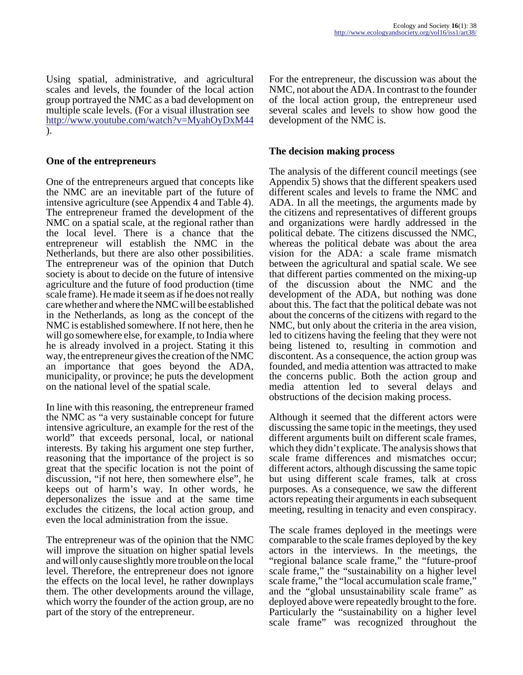Using spatial, administrative, and agricultural scales and levels, the founder of the local action group portrayed the NMC as a bad development on multiple scale levels. (For a visual illustration see <http://www.youtube.com/watch?v=MyahOyDxM44> ).

#### **One of the entrepreneurs**

One of the entrepreneurs argued that concepts like the NMC are an inevitable part of the future of intensive agriculture (see Appendix 4 and Table 4). The entrepreneur framed the development of the NMC on a spatial scale, at the regional rather than the local level. There is a chance that the entrepreneur will establish the NMC in the Netherlands, but there are also other possibilities. The entrepreneur was of the opinion that Dutch society is about to decide on the future of intensive agriculture and the future of food production (time scale frame). He made it seem as if he does not really care whether and where the NMC will be established in the Netherlands, as long as the concept of the NMC is established somewhere. If not here, then he will go somewhere else, for example, to India where he is already involved in a project. Stating it this way, the entrepreneur gives the creation of the NMC an importance that goes beyond the ADA, municipality, or province; he puts the development on the national level of the spatial scale.

In line with this reasoning, the entrepreneur framed the NMC as "a very sustainable concept for future intensive agriculture, an example for the rest of the world" that exceeds personal, local, or national interests. By taking his argument one step further, reasoning that the importance of the project is so great that the specific location is not the point of discussion, "if not here, then somewhere else", he keeps out of harm's way. In other words, he depersonalizes the issue and at the same time excludes the citizens, the local action group, and even the local administration from the issue.

The entrepreneur was of the opinion that the NMC will improve the situation on higher spatial levels and will only cause slightly more trouble on the local level. Therefore, the entrepreneur does not ignore the effects on the local level, he rather downplays them. The other developments around the village, which worry the founder of the action group, are no part of the story of the entrepreneur.

For the entrepreneur, the discussion was about the NMC, not about the ADA. In contrast to the founder of the local action group, the entrepreneur used several scales and levels to show how good the development of the NMC is.

#### **The decision making process**

The analysis of the different council meetings (see Appendix 5) shows that the different speakers used different scales and levels to frame the NMC and ADA. In all the meetings, the arguments made by the citizens and representatives of different groups and organizations were hardly addressed in the political debate. The citizens discussed the NMC, whereas the political debate was about the area vision for the ADA: a scale frame mismatch between the agricultural and spatial scale. We see that different parties commented on the mixing-up of the discussion about the NMC and the development of the ADA, but nothing was done about this. The fact that the political debate was not about the concerns of the citizens with regard to the NMC, but only about the criteria in the area vision, led to citizens having the feeling that they were not being listened to, resulting in commotion and discontent. As a consequence, the action group was founded, and media attention was attracted to make the concerns public. Both the action group and media attention led to several delays and obstructions of the decision making process.

Although it seemed that the different actors were discussing the same topic in the meetings, they used different arguments built on different scale frames, which they didn't explicate. The analysis shows that scale frame differences and mismatches occur; different actors, although discussing the same topic but using different scale frames, talk at cross purposes. As a consequence, we saw the different actors repeating their arguments in each subsequent meeting, resulting in tenacity and even conspiracy.

The scale frames deployed in the meetings were comparable to the scale frames deployed by the key actors in the interviews. In the meetings, the "regional balance scale frame," the "future-proof scale frame," the "sustainability on a higher level scale frame," the "local accumulation scale frame," and the "global unsustainability scale frame" as deployed above were repeatedly brought to the fore. Particularly the "sustainability on a higher level scale frame" was recognized throughout the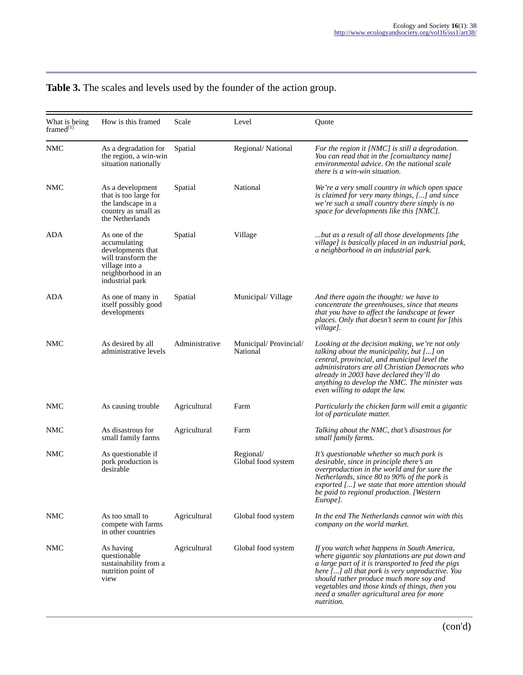## **Table 3.** The scales and levels used by the founder of the action group.

| What is being<br>framed $l1$ | How is this framed                                                                                                                  | Scale          | Level                             | Quote                                                                                                                                                                                                                                                                                                                                                           |
|------------------------------|-------------------------------------------------------------------------------------------------------------------------------------|----------------|-----------------------------------|-----------------------------------------------------------------------------------------------------------------------------------------------------------------------------------------------------------------------------------------------------------------------------------------------------------------------------------------------------------------|
| NMC                          | As a degradation for<br>the region, a win-win<br>situation nationally                                                               | Spatial        | Regional/ National                | For the region it [NMC] is still a degradation.<br>You can read that in the [consultancy name]<br>environmental advice. On the national scale<br><i>there is a win-win situation.</i>                                                                                                                                                                           |
| <b>NMC</b>                   | As a development<br>that is too large for<br>the landscape in a<br>country as small as<br>the Netherlands                           | Spatial        | National                          | We're a very small country in which open space<br>is claimed for very many things, [] and since<br>we're such a small country there simply is no<br>space for developments like this [NMC].                                                                                                                                                                     |
| ADA                          | As one of the<br>accumulating<br>developments that<br>will transform the<br>village into a<br>neighborhood in an<br>industrial park | Spatial        | Village                           | but as a result of all those developments [the<br>village] is basically placed in an industrial park,<br>a neighborhood in an industrial park.                                                                                                                                                                                                                  |
| ADA                          | As one of many in<br>itself possibly good<br>developments                                                                           | Spatial        | Municipal/Village                 | And there again the thought: we have to<br>concentrate the greenhouses, since that means<br>that you have to affect the landscape at fewer<br>places. Only that doesn't seem to count for [this<br>village].                                                                                                                                                    |
| NMC                          | As desired by all<br>administrative levels                                                                                          | Administrative | Municipal/Provincial/<br>National | Looking at the decision making, we're not only<br>talking about the municipality, but [] on<br>central, provincial, and municipal level the<br>administrators are all Christian Democrats who<br>already in 2003 have declared they'll do<br>anything to develop the NMC. The minister was<br>even willing to adapt the law.                                    |
| NMC                          | As causing trouble                                                                                                                  | Agricultural   | Farm                              | Particularly the chicken farm will emit a gigantic<br>lot of particulate matter.                                                                                                                                                                                                                                                                                |
| NMC                          | As disastrous for<br>small family farms                                                                                             | Agricultural   | Farm                              | Talking about the NMC, that's disastrous for<br>small family farms.                                                                                                                                                                                                                                                                                             |
| NMC                          | As questionable if<br>pork production is<br>desirable                                                                               |                | Regional/<br>Global food system   | It's questionable whether so much pork is<br>desirable, since in principle there's an<br>overproduction in the world and for sure the<br>Netherlands, since 80 to 90% of the pork is<br>exported [] we state that more attention should<br>be paid to regional production. [Western<br>Europe].                                                                 |
| <b>NMC</b>                   | As too small to<br>compete with farms<br>in other countries                                                                         | Agricultural   | Global food system                | In the end The Netherlands cannot win with this<br>company on the world market.                                                                                                                                                                                                                                                                                 |
| <b>NMC</b>                   | As having<br>questionable<br>sustainability from a<br>nutrition point of<br>view                                                    | Agricultural   | Global food system                | If you watch what happens in South America,<br>where gigantic soy plantations are put down and<br>a large part of it is transported to feed the pigs<br>here [] all that pork is very unproductive. You<br>should rather produce much more soy and<br>vegetables and those kinds of things, then you<br>need a smaller agricultural area for more<br>nutrition. |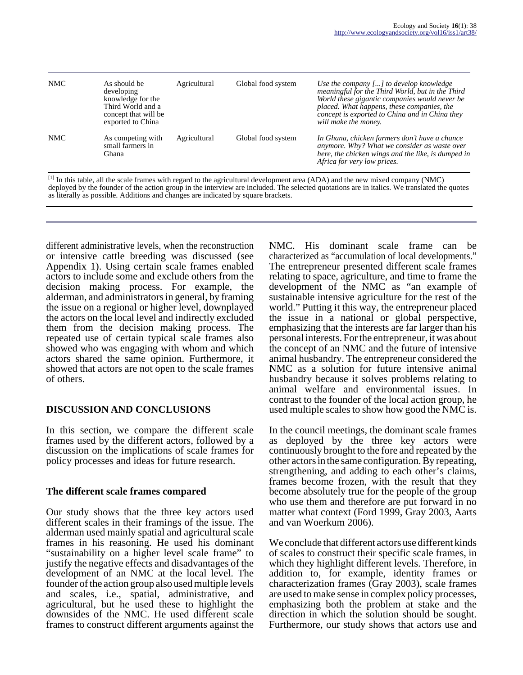| <b>NMC</b> | As should be<br>developing<br>knowledge for the<br>Third World and a<br>concept that will be<br>exported to China | Agricultural | Global food system | Use the company [] to develop knowledge<br>meaningful for the Third World, but in the Third<br>World these gigantic companies would never be<br>placed. What happens, these companies, the<br>concept is exported to China and in China they<br>will make the money. |
|------------|-------------------------------------------------------------------------------------------------------------------|--------------|--------------------|----------------------------------------------------------------------------------------------------------------------------------------------------------------------------------------------------------------------------------------------------------------------|
| <b>NMC</b> | As competing with<br>small farmers in<br>Ghana                                                                    | Agricultural | Global food system | In Ghana, chicken farmers don't have a chance<br>anymore. Why? What we consider as waste over<br>here, the chicken wings and the like, is dumped in<br>Africa for very low prices.                                                                                   |

 $[1]$  In this table, all the scale frames with regard to the agricultural development area (ADA) and the new mixed company (NMC) deployed by the founder of the action group in the interview are included. The selected quotations are in italics. We translated the quotes as literally as possible. Additions and changes are indicated by square brackets.

different administrative levels, when the reconstruction or intensive cattle breeding was discussed (see Appendix 1). Using certain scale frames enabled actors to include some and exclude others from the decision making process. For example, the alderman, and administrators in general, by framing the issue on a regional or higher level, downplayed the actors on the local level and indirectly excluded them from the decision making process. The repeated use of certain typical scale frames also showed who was engaging with whom and which actors shared the same opinion. Furthermore, it showed that actors are not open to the scale frames of others.

### **DISCUSSION AND CONCLUSIONS**

In this section, we compare the different scale frames used by the different actors, followed by a discussion on the implications of scale frames for policy processes and ideas for future research.

### **The different scale frames compared**

Our study shows that the three key actors used different scales in their framings of the issue. The alderman used mainly spatial and agricultural scale frames in his reasoning. He used his dominant "sustainability on a higher level scale frame" to justify the negative effects and disadvantages of the development of an NMC at the local level. The founder of the action group also used multiple levels and scales, i.e., spatial, administrative, and agricultural, but he used these to highlight the downsides of the NMC. He used different scale frames to construct different arguments against the

NMC. His dominant scale frame can be characterized as "accumulation of local developments." The entrepreneur presented different scale frames relating to space, agriculture, and time to frame the development of the NMC as "an example of sustainable intensive agriculture for the rest of the world." Putting it this way, the entrepreneur placed the issue in a national or global perspective, emphasizing that the interests are far larger than his personal interests. For the entrepreneur, it was about the concept of an NMC and the future of intensive animal husbandry. The entrepreneur considered the NMC as a solution for future intensive animal husbandry because it solves problems relating to animal welfare and environmental issues. In contrast to the founder of the local action group, he used multiple scales to show how good the NMC is.

In the council meetings, the dominant scale frames as deployed by the three key actors were continuously brought to the fore and repeated by the other actors in the same configuration. By repeating, strengthening, and adding to each other's claims, frames become frozen, with the result that they become absolutely true for the people of the group who use them and therefore are put forward in no matter what context (Ford 1999, Gray 2003, Aarts and van Woerkum 2006).

We conclude that different actors use different kinds of scales to construct their specific scale frames, in which they highlight different levels. Therefore, in addition to, for example, identity frames or characterization frames (Gray 2003), scale frames are used to make sense in complex policy processes, emphasizing both the problem at stake and the direction in which the solution should be sought. Furthermore, our study shows that actors use and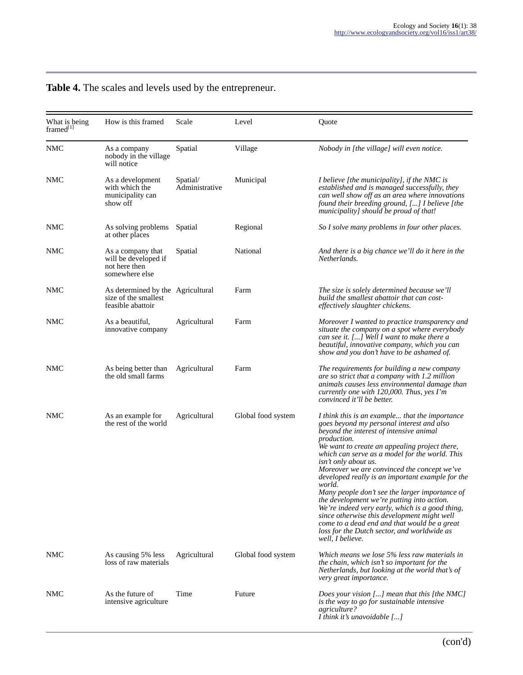| What is being<br>framed <sup>[1]</sup> | How is this framed                                                             | Scale                      | Level              | Quote                                                                                                                                                                                                                                                                                                                                                                                                                                                                                                                                                                                                                                                                                                              |
|----------------------------------------|--------------------------------------------------------------------------------|----------------------------|--------------------|--------------------------------------------------------------------------------------------------------------------------------------------------------------------------------------------------------------------------------------------------------------------------------------------------------------------------------------------------------------------------------------------------------------------------------------------------------------------------------------------------------------------------------------------------------------------------------------------------------------------------------------------------------------------------------------------------------------------|
| NMC                                    | As a company<br>nobody in the village<br>will notice                           | Spatial                    | Village            | Nobody in [the village] will even notice.                                                                                                                                                                                                                                                                                                                                                                                                                                                                                                                                                                                                                                                                          |
| <b>NMC</b>                             | As a development<br>with which the<br>municipality can<br>show off             | Spatial/<br>Administrative | Municipal          | <i>I</i> believe [the municipality], if the NMC is<br>established and is managed successfully, they<br>can well show off as an area where innovations<br>found their breeding ground, [] I believe [the<br>municipality] should be proud of that!                                                                                                                                                                                                                                                                                                                                                                                                                                                                  |
| <b>NMC</b>                             | As solving problems<br>at other places                                         | Spatial                    | Regional           | So I solve many problems in four other places.                                                                                                                                                                                                                                                                                                                                                                                                                                                                                                                                                                                                                                                                     |
| NMC                                    | As a company that<br>will be developed if<br>not here then<br>somewhere else   | Spatial                    | National           | And there is a big chance we'll do it here in the<br>Netherlands.                                                                                                                                                                                                                                                                                                                                                                                                                                                                                                                                                                                                                                                  |
| <b>NMC</b>                             | As determined by the Agricultural<br>size of the smallest<br>feasible abattoir |                            | Farm               | The size is solely determined because we'll<br>build the smallest abattoir that can cost-<br>effectively slaughter chickens.                                                                                                                                                                                                                                                                                                                                                                                                                                                                                                                                                                                       |
| NMC                                    | As a beautiful,<br>innovative company                                          | Agricultural               | Farm               | Moreover I wanted to practice transparency and<br>situate the company on a spot where everybody<br>can see it. [] Well I want to make there a<br>beautiful, innovative company, which you can<br>show and you don't have to be ashamed of.                                                                                                                                                                                                                                                                                                                                                                                                                                                                         |
| <b>NMC</b>                             | As being better than<br>the old small farms                                    | Agricultural               | Farm               | The requirements for building a new company<br>are so strict that a company with 1.2 million<br>animals causes less environmental damage than<br>currently one with $120,000$ . Thus, yes I'm<br>convinced it'll be better.                                                                                                                                                                                                                                                                                                                                                                                                                                                                                        |
| <b>NMC</b>                             | As an example for<br>the rest of the world                                     | Agricultural               | Global food system | I think this is an example that the importance<br>goes beyond my personal interest and also<br>beyond the interest of intensive animal<br>production.<br>We want to create an appealing project there,<br>which can serve as a model for the world. This<br>isn't only about us.<br>Moreover we are convinced the concept we've<br>developed really is an important example for the<br>world.<br>Many people don't see the larger importance of<br>the development we're putting into action.<br>We're indeed very early, which is a good thing,<br>since otherwise this development might well<br>come to a dead end and that would be a great<br>loss for the Dutch sector, and worldwide as<br>well. I believe. |
| <b>NMC</b>                             | As causing 5% less<br>loss of raw materials                                    | Agricultural               | Global food system | Which means we lose 5% less raw materials in<br>the chain, which isn't so important for the<br>Netherlands, but looking at the world that's of<br>very great importance.                                                                                                                                                                                                                                                                                                                                                                                                                                                                                                                                           |
| <b>NMC</b>                             | As the future of<br>intensive agriculture                                      | Time                       | Future             | Does your vision $[]$ mean that this [the NMC]<br>is the way to go for sustainable intensive<br>agriculture?<br>I think it's unavoidable $[]$                                                                                                                                                                                                                                                                                                                                                                                                                                                                                                                                                                      |

# **Table 4.** The scales and levels used by the entrepreneur.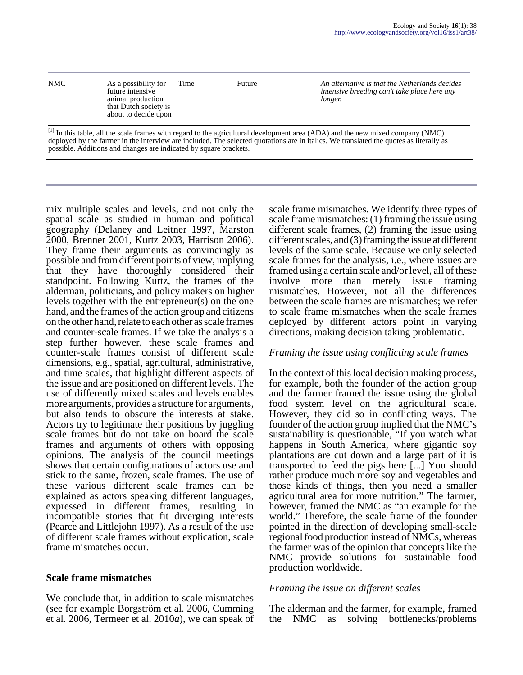| <b>NMC</b> | As a possibility for<br>future intensive<br>animal production<br>that Dutch society is<br>about to decide upon | Time | Future | An alternative is that the Netherlands decides<br>intensive breeding can't take place here any<br>longer. |
|------------|----------------------------------------------------------------------------------------------------------------|------|--------|-----------------------------------------------------------------------------------------------------------|
|            |                                                                                                                |      |        |                                                                                                           |

[1] In this table, all the scale frames with regard to the agricultural development area (ADA) and the new mixed company (NMC) deployed by the farmer in the interview are included. The selected quotations are in italics. We translated the quotes as literally as possible. Additions and changes are indicated by square brackets.

mix multiple scales and levels, and not only the spatial scale as studied in human and political geography (Delaney and Leitner 1997, Marston 2000, Brenner 2001, Kurtz 2003, Harrison 2006). They frame their arguments as convincingly as possible and from different points of view, implying that they have thoroughly considered their standpoint. Following Kurtz, the frames of the alderman, politicians, and policy makers on higher levels together with the entrepreneur(s) on the one hand, and the frames of the action group and citizens on the other hand, relate to each other as scale frames and counter-scale frames. If we take the analysis a step further however, these scale frames and counter-scale frames consist of different scale dimensions, e.g., spatial, agricultural, administrative, and time scales, that highlight different aspects of the issue and are positioned on different levels. The use of differently mixed scales and levels enables more arguments, provides a structure for arguments, but also tends to obscure the interests at stake. Actors try to legitimate their positions by juggling scale frames but do not take on board the scale frames and arguments of others with opposing opinions. The analysis of the council meetings shows that certain configurations of actors use and stick to the same, frozen, scale frames. The use of these various different scale frames can be explained as actors speaking different languages, expressed in different frames, resulting in incompatible stories that fit diverging interests (Pearce and Littlejohn 1997). As a result of the use of different scale frames without explication, scale frame mismatches occur.

#### **Scale frame mismatches**

We conclude that, in addition to scale mismatches (see for example Borgström et al. 2006, Cumming et al. 2006, Termeer et al. 2010*a*), we can speak of scale frame mismatches. We identify three types of scale frame mismatches: (1) framing the issue using different scale frames, (2) framing the issue using different scales, and (3) framing the issue at different levels of the same scale. Because we only selected scale frames for the analysis, i.e., where issues are framed using a certain scale and/or level, all of these involve more than merely issue framing mismatches. However, not all the differences between the scale frames are mismatches; we refer to scale frame mismatches when the scale frames deployed by different actors point in varying directions, making decision taking problematic.

#### *Framing the issue using conflicting scale frames*

In the context of this local decision making process, for example, both the founder of the action group and the farmer framed the issue using the global food system level on the agricultural scale. However, they did so in conflicting ways. The founder of the action group implied that the NMC's sustainability is questionable, "If you watch what happens in South America, where gigantic soy plantations are cut down and a large part of it is transported to feed the pigs here [...] You should rather produce much more soy and vegetables and those kinds of things, then you need a smaller agricultural area for more nutrition." The farmer, however, framed the NMC as "an example for the world." Therefore, the scale frame of the founder pointed in the direction of developing small-scale regional food production instead of NMCs, whereas the farmer was of the opinion that concepts like the NMC provide solutions for sustainable food production worldwide.

#### *Framing the issue on different scales*

The alderman and the farmer, for example, framed the NMC as solving bottlenecks/problems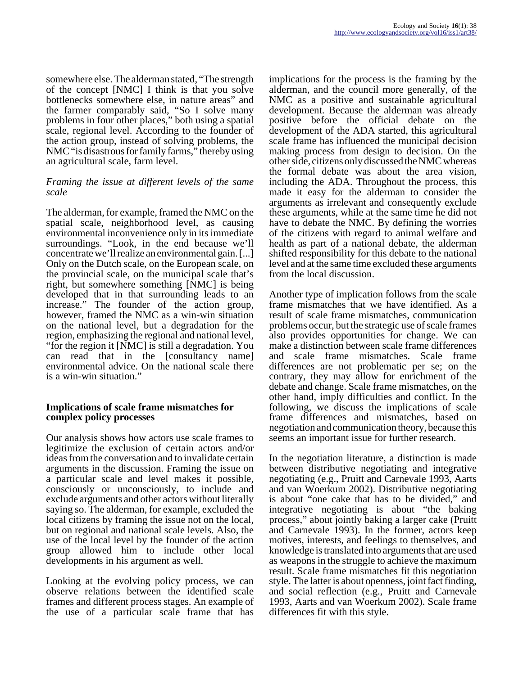somewhere else. The alderman stated, "The strength of the concept [NMC] I think is that you solve bottlenecks somewhere else, in nature areas" and the farmer comparably said, "So I solve many problems in four other places," both using a spatial scale, regional level. According to the founder of the action group, instead of solving problems, the NMC "is disastrous for family farms," thereby using an agricultural scale, farm level.

#### *Framing the issue at different levels of the same scale*

The alderman, for example, framed the NMC on the spatial scale, neighborhood level, as causing environmental inconvenience only in its immediate surroundings. "Look, in the end because we'll concentrate we'll realize an environmental gain. [...] Only on the Dutch scale, on the European scale, on the provincial scale, on the municipal scale that's right, but somewhere something [NMC] is being developed that in that surrounding leads to an increase." The founder of the action group, however, framed the NMC as a win-win situation on the national level, but a degradation for the region, emphasizing the regional and national level, "for the region it [NMC] is still a degradation. You can read that in the [consultancy name] environmental advice. On the national scale there is a win-win situation."

#### **Implications of scale frame mismatches for complex policy processes**

Our analysis shows how actors use scale frames to legitimize the exclusion of certain actors and/or ideas from the conversation and to invalidate certain arguments in the discussion. Framing the issue on a particular scale and level makes it possible, consciously or unconsciously, to include and exclude arguments and other actors without literally saying so. The alderman, for example, excluded the local citizens by framing the issue not on the local, but on regional and national scale levels. Also, the use of the local level by the founder of the action group allowed him to include other local developments in his argument as well.

Looking at the evolving policy process, we can observe relations between the identified scale frames and different process stages. An example of the use of a particular scale frame that has

implications for the process is the framing by the alderman, and the council more generally, of the NMC as a positive and sustainable agricultural development. Because the alderman was already positive before the official debate on the development of the ADA started, this agricultural scale frame has influenced the municipal decision making process from design to decision. On the other side, citizens only discussed the NMC whereas the formal debate was about the area vision, including the ADA. Throughout the process, this made it easy for the alderman to consider the arguments as irrelevant and consequently exclude these arguments, while at the same time he did not have to debate the NMC. By defining the worries of the citizens with regard to animal welfare and health as part of a national debate, the alderman shifted responsibility for this debate to the national level and at the same time excluded these arguments from the local discussion.

Another type of implication follows from the scale frame mismatches that we have identified. As a result of scale frame mismatches, communication problems occur, but the strategic use of scale frames also provides opportunities for change. We can make a distinction between scale frame differences and scale frame mismatches. Scale frame differences are not problematic per se; on the contrary, they may allow for enrichment of the debate and change. Scale frame mismatches, on the other hand, imply difficulties and conflict. In the following, we discuss the implications of scale frame differences and mismatches, based on negotiation and communication theory, because this seems an important issue for further research.

In the negotiation literature, a distinction is made between distributive negotiating and integrative negotiating (e.g., Pruitt and Carnevale 1993, Aarts and van Woerkum 2002). Distributive negotiating is about "one cake that has to be divided," and integrative negotiating is about "the baking process," about jointly baking a larger cake (Pruitt and Carnevale 1993). In the former, actors keep motives, interests, and feelings to themselves, and knowledge is translated into arguments that are used as weapons in the struggle to achieve the maximum result. Scale frame mismatches fit this negotiation style. The latter is about openness, joint fact finding, and social reflection (e.g., Pruitt and Carnevale 1993, Aarts and van Woerkum 2002). Scale frame differences fit with this style.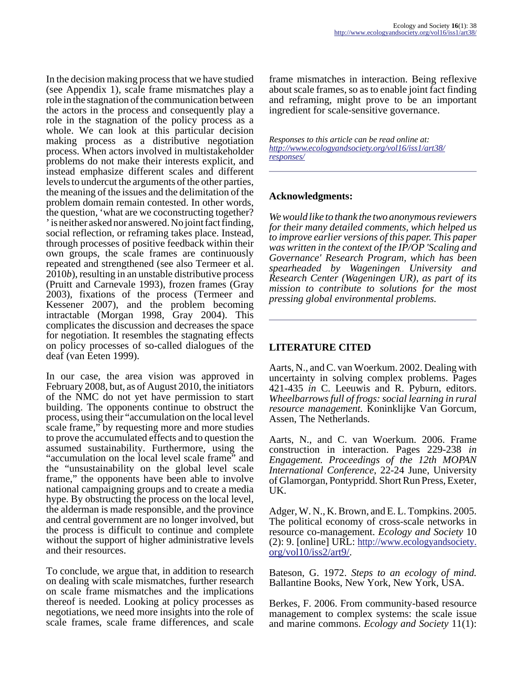In the decision making process that we have studied (see Appendix 1), scale frame mismatches play a role in the stagnation of the communication between the actors in the process and consequently play a role in the stagnation of the policy process as a whole. We can look at this particular decision making process as a distributive negotiation process. When actors involved in multistakeholder problems do not make their interests explicit, and instead emphasize different scales and different levels to undercut the arguments of the other parties, the meaning of the issues and the delimitation of the problem domain remain contested. In other words, the question, 'what are we coconstructing together? ' is neither asked nor answered. No joint fact finding, social reflection, or reframing takes place. Instead, through processes of positive feedback within their own groups, the scale frames are continuously repeated and strengthened (see also Termeer et al. 2010*b*), resulting in an unstable distributive process (Pruitt and Carnevale 1993), frozen frames (Gray 2003), fixations of the process (Termeer and Kessener 2007), and the problem becoming intractable (Morgan 1998, Gray 2004). This complicates the discussion and decreases the space for negotiation. It resembles the stagnating effects on policy processes of so-called dialogues of the deaf (van Eeten 1999).

In our case, the area vision was approved in February 2008, but, as of August 2010, the initiators of the NMC do not yet have permission to start building. The opponents continue to obstruct the process, using their "accumulation on the local level scale frame," by requesting more and more studies to prove the accumulated effects and to question the assumed sustainability. Furthermore, using the "accumulation on the local level scale frame" and the "unsustainability on the global level scale frame," the opponents have been able to involve national campaigning groups and to create a media hype. By obstructing the process on the local level, the alderman is made responsible, and the province and central government are no longer involved, but the process is difficult to continue and complete without the support of higher administrative levels and their resources.

To conclude, we argue that, in addition to research on dealing with scale mismatches, further research on scale frame mismatches and the implications thereof is needed. Looking at policy processes as negotiations, we need more insights into the role of scale frames, scale frame differences, and scale

frame mismatches in interaction. Being reflexive about scale frames, so as to enable joint fact finding and reframing, might prove to be an important ingredient for scale-sensitive governance.

*Responses to this article can be read online at: [http://www](http://www.ecologyandsociety.org/vol16/iss1/art38/responses/).ecologyandsociety.org/vol16/iss1/art38/ responses/*

### **Acknowledgments:**

*We would like to thank the two anonymous reviewers for their many detailed comments, which helped us to improve earlier versions of this paper. This paper was written in the context of the IP/OP 'Scaling and Governance' Research Program, which has been spearheaded by Wageningen University and Research Center (Wageningen UR), as part of its mission to contribute to solutions for the most pressing global environmental problems.*

### **LITERATURE CITED**

Aarts, N., and C. van Woerkum. 2002. Dealing with uncertainty in solving complex problems. Pages 421-435 *in* C. Leeuwis and R. Pyburn, editors. *Wheelbarrows full of frogs: social learning in rural resource management.* Koninklijke Van Gorcum, Assen, The Netherlands.

Aarts, N., and C. van Woerkum. 2006. Frame construction in interaction. Pages 229-238 *in Engagement. Proceedings of the 12th MOPAN International Conference*, 22-24 June, University of Glamorgan, Pontypridd. Short Run Press, Exeter, UK.

Adger, W. N., K. Brown, and E. L. Tompkins. 2005. The political economy of cross-scale networks in resource co-management. *Ecology and Society* 10 (2): 9. [online] URL: [http://www.ecologyandsociety.](http://www.ecologyandsociety.org/vol10/iss2/art9/) [org/vol10/iss2/art9/](http://www.ecologyandsociety.org/vol10/iss2/art9/).

Bateson, G. 1972. *Steps to an ecology of mind.* Ballantine Books, New York, New York, USA.

Berkes, F. 2006. From community-based resource management to complex systems: the scale issue and marine commons. *Ecology and Society* 11(1):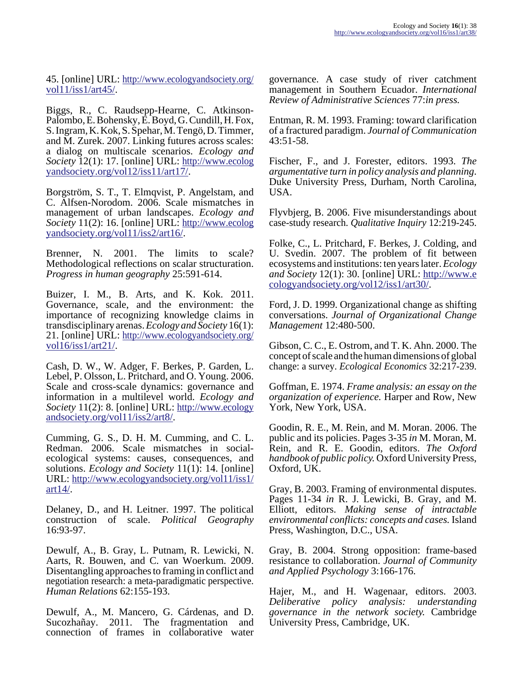45. [online] URL: [http://www.ecologyandsociety.org/](http://www.ecologyandsociety.org/vol11/iss1/art45/) [vol11/iss1/art45/.](http://www.ecologyandsociety.org/vol11/iss1/art45/)

Biggs, R., C. Raudsepp-Hearne, C. Atkinson-Palombo, E. Bohensky, E. Boyd, G. Cundill, H. Fox, S. Ingram, K. Kok, S. Spehar, M. Tengö, D. Timmer, and M. Zurek. 2007. Linking futures across scales: a dialog on multiscale scenarios. *Ecology and Society* 12(1): 17. [online] URL: [http://www.ecolog](http://www.ecologyandsociety.org/vol12/iss1/art17/) [yandsociety.org/vol12/iss11/art17/](http://www.ecologyandsociety.org/vol12/iss1/art17/).

Borgström, S. T., T. Elmqvist, P. Angelstam, and C. Alfsen-Norodom. 2006. Scale mismatches in management of urban landscapes. *Ecology and Society* 11(2): 16. [online] URL: [http://www.ecolog](http://www.ecologyandsociety.org/vol11/iss2/art16/) [yandsociety.org/vol11/iss2/art16/](http://www.ecologyandsociety.org/vol11/iss2/art16/).

Brenner, N. 2001. The limits to scale? Methodological reflections on scalar structuration. *Progress in human geography* 25:591-614.

Buizer, I. M., B. Arts, and K. Kok. 2011. Governance, scale, and the environment: the importance of recognizing knowledge claims in transdisciplinary arenas. *Ecology and Society* 16(1): 21. [online] URL: [http://www.ecologyandsociety.org/](http://www.ecologyandsociety.org/vol16/iss1/art21/) vol $16$ /iss $1/art21$ /.

Cash, D. W., W. Adger, F. Berkes, P. Garden, L. Lebel, P. Olsson, L. Pritchard, and O. Young. 2006. Scale and cross-scale dynamics: governance and information in a multilevel world. *Ecology and Society* 11(2): 8. [online] URL: [http://www.ecology](http://www.ecologyandsociety.org/vol11/iss2/art8/) [andsociety.org/vol11/iss2/art8/](http://www.ecologyandsociety.org/vol11/iss2/art8/).

Cumming, G. S., D. H. M. Cumming, and C. L. Redman. 2006. Scale mismatches in socialecological systems: causes, consequences, and solutions. *Ecology and Society* 11(1): 14. [online] URL: [http://www.ecologyandsociety.org/vol11/iss1/](http://www.ecologyandsociety.org/vol11/iss1/art14/) [art14/.](http://www.ecologyandsociety.org/vol11/iss1/art14/)

Delaney, D., and H. Leitner. 1997. The political construction of scale. *Political Geography* 16:93-97.

Dewulf, A., B. Gray, L. Putnam, R. Lewicki, N. Aarts, R. Bouwen, and C. van Woerkum. 2009. Disentangling approaches to framing in conflict and negotiation research: a meta-paradigmatic perspective. *Human Relations* 62:155-193.

Dewulf, A., M. Mancero, G. Cárdenas, and D. Sucozhañay. 2011. The fragmentation and connection of frames in collaborative water

governance. A case study of river catchment management in Southern Ecuador. *International Review of Administrative Sciences* 77:*in press.*

Entman, R. M. 1993. Framing: toward clarification of a fractured paradigm. *Journal of Communication* 43:51-58.

Fischer, F., and J. Forester, editors. 1993. *The argumentative turn in policy analysis and planning*. Duke University Press, Durham, North Carolina, USA.

Flyvbjerg, B. 2006. Five misunderstandings about case-study research. *Qualitative Inquiry* 12:219-245.

Folke, C., L. Pritchard, F. Berkes, J. Colding, and U. Svedin. 2007. The problem of fit between ecosystems and institutions: ten years later. *Ecology and Society* 12(1): 30. [online] URL: [http://www.e](http://www.ecologyandsociety.org/vol12/iss1/art30/) [cologyandsociety.org/vol12/iss1/art30/.](http://www.ecologyandsociety.org/vol12/iss1/art30/)

Ford, J. D. 1999. Organizational change as shifting conversations. *Journal of Organizational Change Management* 12:480-500.

Gibson, C. C., E. Ostrom, and T. K. Ahn. 2000. The concept of scale and the human dimensions of global change: a survey. *Ecological Economics* 32:217-239.

Goffman, E. 1974. *Frame analysis: an essay on the organization of experience.* Harper and Row, New York, New York, USA.

Goodin, R. E., M. Rein, and M. Moran. 2006. The public and its policies. Pages 3-35 *in* M. Moran, M. Rein, and R. E. Goodin, editors. *The Oxford handbook of public policy.* Oxford University Press, Oxford, UK.

Gray, B. 2003. Framing of environmental disputes. Pages 11-34 *in* R. J. Lewicki, B. Gray, and M. Elliott, editors. *Making sense of intractable environmental conflicts: concepts and cases.* Island Press, Washington, D.C., USA.

Gray, B. 2004. Strong opposition: frame-based resistance to collaboration. *Journal of Community and Applied Psychology* 3:166-176.

Hajer, M., and H. Wagenaar, editors. 2003. *Deliberative policy analysis: understanding governance in the network society.* Cambridge University Press, Cambridge, UK.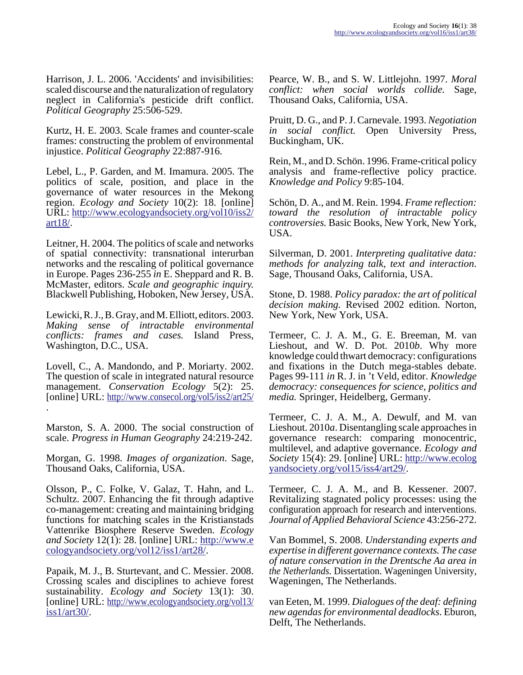Harrison, J. L. 2006. 'Accidents' and invisibilities: scaled discourse and the naturalization of regulatory neglect in California's pesticide drift conflict. *Political Geography* 25:506-529.

Kurtz, H. E. 2003. Scale frames and counter-scale frames: constructing the problem of environmental injustice. *Political Geography* 22:887-916.

Lebel, L., P. Garden, and M. Imamura. 2005. The politics of scale, position, and place in the governance of water resources in the Mekong region. *Ecology and Society* 10(2): 18. [online] URL: [http://www.ecologyandsociety.org/vol10/iss2/](http://www.ecologyandsociety.org/vol10/iss2/art18/) [art18/.](http://www.ecologyandsociety.org/vol10/iss2/art18/)

Leitner, H. 2004. The politics of scale and networks of spatial connectivity: transnational interurban networks and the rescaling of political governance in Europe. Pages 236-255 *in* E. Sheppard and R. B. McMaster, editors. *Scale and geographic inquiry.* Blackwell Publishing, Hoboken, New Jersey, USA.

Lewicki, R. J., B. Gray, and M. Elliott, editors. 2003. *Making sense of intractable environmental conflicts: frames and cases.* Island Press, Washington, D.C., USA.

Lovell, C., A. Mandondo, and P. Moriarty. 2002. The question of scale in integrated natural resource management. *Conservation Ecology* 5(2): 25. [online] URL:<http://www.consecol.org/vol5/iss2/art25/> .

Marston, S. A. 2000. The social construction of scale. *Progress in Human Geography* 24:219-242.

Morgan, G. 1998. *Images of organization*. Sage, Thousand Oaks, California, USA.

Olsson, P., C. Folke, V. Galaz, T. Hahn, and L. Schultz. 2007. Enhancing the fit through adaptive co-management: creating and maintaining bridging functions for matching scales in the Kristianstads Vattenrike Biosphere Reserve Sweden. *Ecology and Society* 12(1): 28. [online] URL: [http://www.e](http://www.ecologyandsociety.org/vol12/iss1/art28/) [cologyandsociety.org/vol12/iss1/art28/.](http://www.ecologyandsociety.org/vol12/iss1/art28/)

Papaik, M. J., B. Sturtevant, and C. Messier. 2008. Crossing scales and disciplines to achieve forest sustainability. *Ecology and Society* 13(1): 30. [online] URL: [http://www.ecologyandsociety.org/vol13/](http://www.ecologyandsociety.org/vol13/iss1/art30/) [iss1/art30/](http://www.ecologyandsociety.org/vol13/iss1/art30/).

Pearce, W. B., and S. W. Littlejohn. 1997. *Moral conflict: when social worlds collide.* Sage, Thousand Oaks, California, USA.

Pruitt, D. G., and P. J. Carnevale. 1993. *Negotiation in social conflict.* Open University Press, Buckingham, UK.

Rein, M., and D. Schön. 1996. Frame-critical policy analysis and frame-reflective policy practice. *Knowledge and Policy* 9:85-104.

Schön, D. A., and M. Rein. 1994. *Frame reflection: toward the resolution of intractable policy controversies.* Basic Books, New York, New York, USA.

Silverman, D. 2001. *Interpreting qualitative data: methods for analyzing talk, text and interaction*. Sage, Thousand Oaks, California, USA.

Stone, D. 1988. *Policy paradox: the art of political decision making.* Revised 2002 edition. Norton, New York, New York, USA.

Termeer, C. J. A. M., G. E. Breeman, M. van Lieshout, and W. D. Pot. 2010*b*. Why more knowledge could thwart democracy: configurations and fixations in the Dutch mega-stables debate. Pages 99-111 *in* R. J. in 't Veld, editor. *Knowledge democracy: consequences for science, politics and media.* Springer, Heidelberg, Germany.

Termeer, C. J. A. M., A. Dewulf, and M. van Lieshout. 2010*a*. Disentangling scale approaches in governance research: comparing monocentric, multilevel, and adaptive governance. *Ecology and Society* 15(4): 29. [online] URL: [http://www.ecolog](http://www.ecologyandsociety.org/vol15/iss4/art29/) [yandsociety.org/vol15/iss4/art29/](http://www.ecologyandsociety.org/vol15/iss4/art29/).

Termeer, C. J. A. M., and B. Kessener. 2007. Revitalizing stagnated policy processes: using the configuration approach for research and interventions. *Journal of Applied Behavioral Science* 43:256-272.

Van Bommel, S. 2008. *Understanding experts and expertise in different governance contexts. The case of nature conservation in the Drentsche Aa area in the Netherlands.* Dissertation. Wageningen University, Wageningen, The Netherlands.

van Eeten, M. 1999. *Dialogues of the deaf: defining new agendas for environmental deadlocks*. Eburon, Delft, The Netherlands.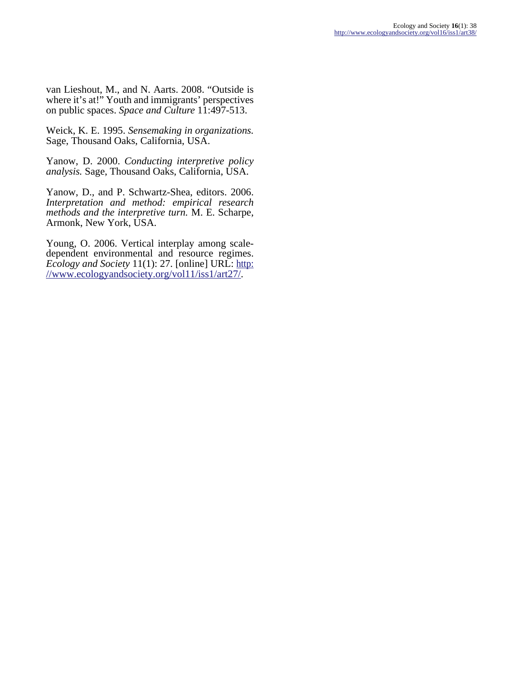van Lieshout, M., and N. Aarts. 2008. "Outside is where it's at!" Youth and immigrants' perspectives on public spaces. *Space and Culture* 11:497-513.

Weick, K. E. 1995. *Sensemaking in organizations.* Sage, Thousand Oaks, California, USA.

Yanow, D. 2000. *Conducting interpretive policy analysis.* Sage, Thousand Oaks, California, USA.

Yanow, D., and P. Schwartz-Shea, editors. 2006. *Interpretation and method: empirical research methods and the interpretive turn.* M. E. Scharpe, Armonk, New York, USA.

Young, O. 2006. Vertical interplay among scaledependent environmental and resource regimes. *Ecology and Society* 11(1): 27. [online] URL: [http:](http://www.ecologyandsociety.org/vol11/iss1/art27/) [//www.ecologyandsociety.org/vol11/iss1/art27/.](http://www.ecologyandsociety.org/vol11/iss1/art27/)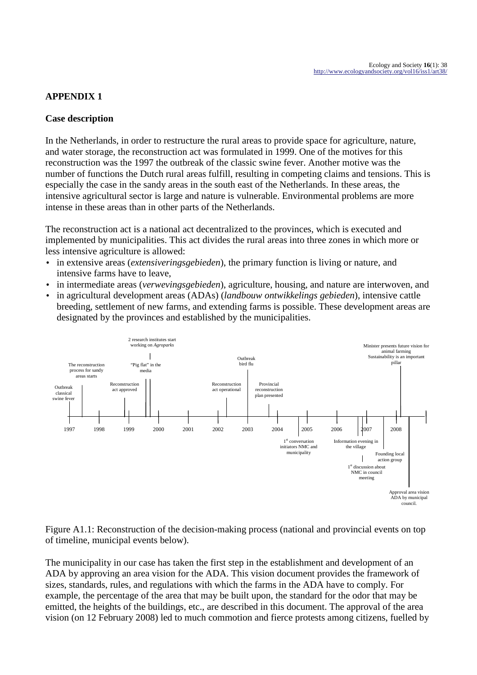## **APPENDIX 1**

## **Case description**

In the Netherlands, in order to restructure the rural areas to provide space for agriculture, nature, and water storage, the reconstruction act was formulated in 1999. One of the motives for this reconstruction was the 1997 the outbreak of the classic swine fever. Another motive was the number of functions the Dutch rural areas fulfill, resulting in competing claims and tensions. This is especially the case in the sandy areas in the south east of the Netherlands. In these areas, the intensive agricultural sector is large and nature is vulnerable. Environmental problems are more intense in these areas than in other parts of the Netherlands.

The reconstruction act is a national act decentralized to the provinces, which is executed and implemented by municipalities. This act divides the rural areas into three zones in which more or less intensive agriculture is allowed:

- in extensive areas (*extensiveringsgebieden*), the primary function is living or nature, and intensive farms have to leave,
- in intermediate areas (*verwevingsgebieden*), agriculture, housing, and nature are interwoven, and
- in agricultural development areas (ADAs) (*landbouw ontwikkelings gebieden*), intensive cattle breeding, settlement of new farms, and extending farms is possible. These development areas are designated by the provinces and established by the municipalities.



Figure A1.1: Reconstruction of the decision-making process (national and provincial events on top of timeline, municipal events below).

The municipality in our case has taken the first step in the establishment and development of an ADA by approving an area vision for the ADA. This vision document provides the framework of sizes, standards, rules, and regulations with which the farms in the ADA have to comply. For example, the percentage of the area that may be built upon, the standard for the odor that may be emitted, the heights of the buildings, etc., are described in this document. The approval of the area vision (on 12 February 2008) led to much commotion and fierce protests among citizens, fuelled by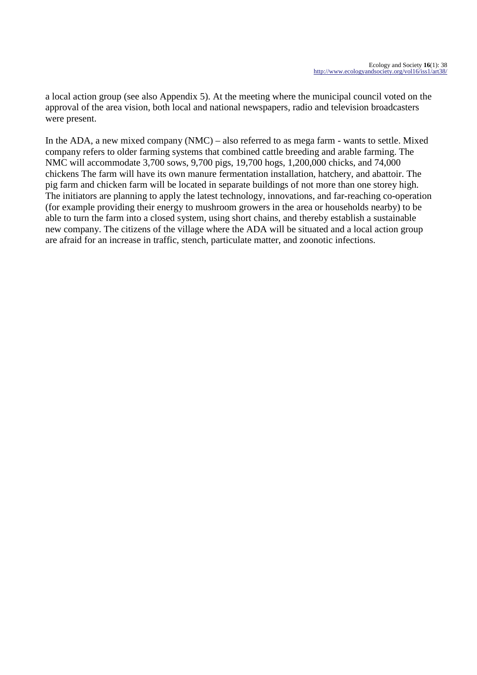a local action group (see also Appendix 5). At the meeting where the municipal council voted on the approval of the area vision, both local and national newspapers, radio and television broadcasters were present.

In the ADA, a new mixed company (NMC) – also referred to as mega farm - wants to settle. Mixed company refers to older farming systems that combined cattle breeding and arable farming. The NMC will accommodate 3,700 sows, 9,700 pigs, 19,700 hogs, 1,200,000 chicks, and 74,000 chickens The farm will have its own manure fermentation installation, hatchery, and abattoir. The pig farm and chicken farm will be located in separate buildings of not more than one storey high. The initiators are planning to apply the latest technology, innovations, and far-reaching co-operation (for example providing their energy to mushroom growers in the area or households nearby) to be able to turn the farm into a closed system, using short chains, and thereby establish a sustainable new company. The citizens of the village where the ADA will be situated and a local action group are afraid for an increase in traffic, stench, particulate matter, and zoonotic infections.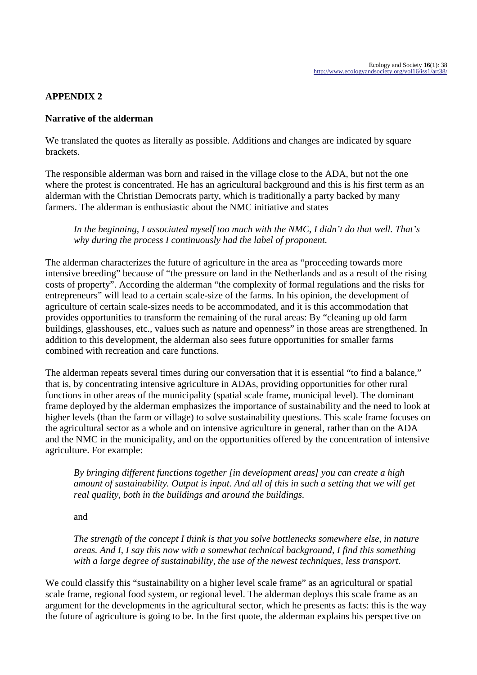## **APPENDIX 2**

### **Narrative of the alderman**

We translated the quotes as literally as possible. Additions and changes are indicated by square brackets.

The responsible alderman was born and raised in the village close to the ADA, but not the one where the protest is concentrated. He has an agricultural background and this is his first term as an alderman with the Christian Democrats party, which is traditionally a party backed by many farmers. The alderman is enthusiastic about the NMC initiative and states

*In the beginning, I associated myself too much with the NMC, I didn't do that well. That's why during the process I continuously had the label of proponent.*

The alderman characterizes the future of agriculture in the area as "proceeding towards more intensive breeding" because of "the pressure on land in the Netherlands and as a result of the rising costs of property". According the alderman "the complexity of formal regulations and the risks for entrepreneurs" will lead to a certain scale-size of the farms. In his opinion, the development of agriculture of certain scale-sizes needs to be accommodated, and it is this accommodation that provides opportunities to transform the remaining of the rural areas: By "cleaning up old farm buildings, glasshouses, etc., values such as nature and openness" in those areas are strengthened. In addition to this development, the alderman also sees future opportunities for smaller farms combined with recreation and care functions.

The alderman repeats several times during our conversation that it is essential "to find a balance," that is, by concentrating intensive agriculture in ADAs, providing opportunities for other rural functions in other areas of the municipality (spatial scale frame, municipal level). The dominant frame deployed by the alderman emphasizes the importance of sustainability and the need to look at higher levels (than the farm or village) to solve sustainability questions. This scale frame focuses on the agricultural sector as a whole and on intensive agriculture in general, rather than on the ADA and the NMC in the municipality, and on the opportunities offered by the concentration of intensive agriculture. For example:

*By bringing different functions together [in development areas] you can create a high amount of sustainability. Output is input. And all of this in such a setting that we will get real quality, both in the buildings and around the buildings.* 

and

*The strength of the concept I think is that you solve bottlenecks somewhere else, in nature areas. And I, I say this now with a somewhat technical background, I find this something with a large degree of sustainability, the use of the newest techniques, less transport.* 

We could classify this "sustainability on a higher level scale frame" as an agricultural or spatial scale frame, regional food system, or regional level. The alderman deploys this scale frame as an argument for the developments in the agricultural sector, which he presents as facts: this is the way the future of agriculture is going to be. In the first quote, the alderman explains his perspective on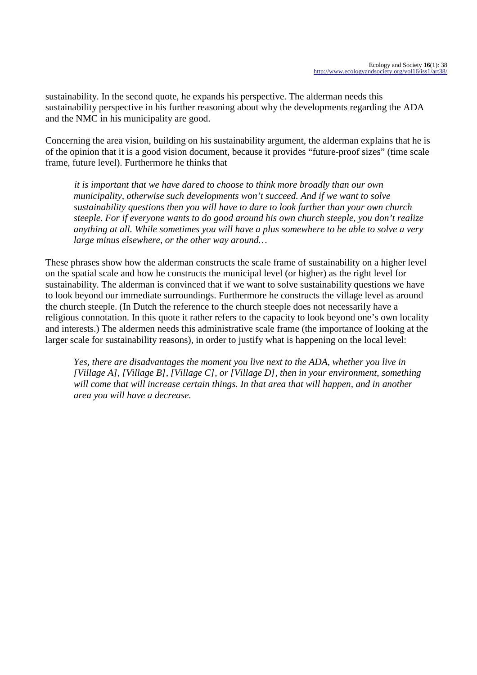sustainability. In the second quote, he expands his perspective. The alderman needs this sustainability perspective in his further reasoning about why the developments regarding the ADA and the NMC in his municipality are good.

Concerning the area vision, building on his sustainability argument, the alderman explains that he is of the opinion that it is a good vision document, because it provides "future-proof sizes" (time scale frame, future level). Furthermore he thinks that

*it is important that we have dared to choose to think more broadly than our own municipality, otherwise such developments won't succeed. And if we want to solve sustainability questions then you will have to dare to look further than your own church steeple. For if everyone wants to do good around his own church steeple, you don't realize anything at all. While sometimes you will have a plus somewhere to be able to solve a very large minus elsewhere, or the other way around…*

These phrases show how the alderman constructs the scale frame of sustainability on a higher level on the spatial scale and how he constructs the municipal level (or higher) as the right level for sustainability. The alderman is convinced that if we want to solve sustainability questions we have to look beyond our immediate surroundings. Furthermore he constructs the village level as around the church steeple. (In Dutch the reference to the church steeple does not necessarily have a religious connotation. In this quote it rather refers to the capacity to look beyond one's own locality and interests.) The aldermen needs this administrative scale frame (the importance of looking at the larger scale for sustainability reasons), in order to justify what is happening on the local level:

*Yes, there are disadvantages the moment you live next to the ADA, whether you live in [Village A], [Village B], [Village C], or [Village D], then in your environment, something will come that will increase certain things. In that area that will happen, and in another area you will have a decrease.*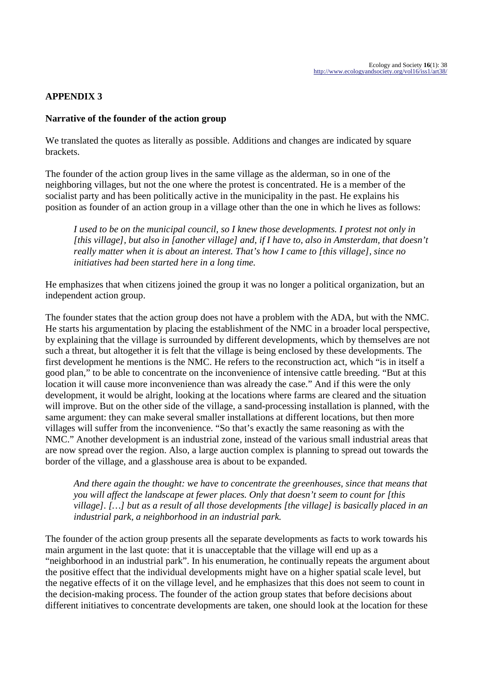## **APPENDIX 3**

### **Narrative of the founder of the action group**

We translated the quotes as literally as possible. Additions and changes are indicated by square brackets.

The founder of the action group lives in the same village as the alderman, so in one of the neighboring villages, but not the one where the protest is concentrated. He is a member of the socialist party and has been politically active in the municipality in the past. He explains his position as founder of an action group in a village other than the one in which he lives as follows:

*I used to be on the municipal council, so I knew those developments. I protest not only in [this village], but also in [another village] and, if I have to, also in Amsterdam, that doesn't really matter when it is about an interest. That's how I came to [this village], since no initiatives had been started here in a long time.*

He emphasizes that when citizens joined the group it was no longer a political organization, but an independent action group.

The founder states that the action group does not have a problem with the ADA, but with the NMC. He starts his argumentation by placing the establishment of the NMC in a broader local perspective, by explaining that the village is surrounded by different developments, which by themselves are not such a threat, but altogether it is felt that the village is being enclosed by these developments. The first development he mentions is the NMC. He refers to the reconstruction act, which "is in itself a good plan," to be able to concentrate on the inconvenience of intensive cattle breeding. "But at this location it will cause more inconvenience than was already the case." And if this were the only development, it would be alright, looking at the locations where farms are cleared and the situation will improve. But on the other side of the village, a sand-processing installation is planned, with the same argument: they can make several smaller installations at different locations, but then more villages will suffer from the inconvenience. "So that's exactly the same reasoning as with the NMC." Another development is an industrial zone, instead of the various small industrial areas that are now spread over the region. Also, a large auction complex is planning to spread out towards the border of the village, and a glasshouse area is about to be expanded.

*And there again the thought: we have to concentrate the greenhouses, since that means that you will affect the landscape at fewer places. Only that doesn't seem to count for [this village]. […] but as a result of all those developments [the village] is basically placed in an industrial park, a neighborhood in an industrial park.*

The founder of the action group presents all the separate developments as facts to work towards his main argument in the last quote: that it is unacceptable that the village will end up as a "neighborhood in an industrial park". In his enumeration, he continually repeats the argument about the positive effect that the individual developments might have on a higher spatial scale level, but the negative effects of it on the village level, and he emphasizes that this does not seem to count in the decision-making process. The founder of the action group states that before decisions about different initiatives to concentrate developments are taken, one should look at the location for these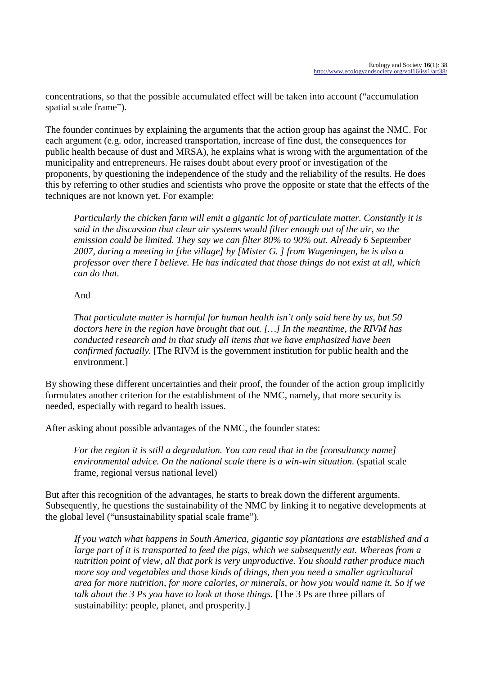concentrations, so that the possible accumulated effect will be taken into account ("accumulation spatial scale frame").

The founder continues by explaining the arguments that the action group has against the NMC. For each argument (e.g. odor, increased transportation, increase of fine dust, the consequences for public health because of dust and MRSA), he explains what is wrong with the argumentation of the municipality and entrepreneurs. He raises doubt about every proof or investigation of the proponents, by questioning the independence of the study and the reliability of the results. He does this by referring to other studies and scientists who prove the opposite or state that the effects of the techniques are not known yet. For example:

*Particularly the chicken farm will emit a gigantic lot of particulate matter. Constantly it is said in the discussion that clear air systems would filter enough out of the air, so the emission could be limited. They say we can filter 80% to 90% out. Already 6 September 2007, during a meeting in [the village] by [Mister G. ] from Wageningen, he is also a professor over there I believe. He has indicated that those things do not exist at all, which can do that.* 

## And

*That particulate matter is harmful for human health isn't only said here by us, but 50 doctors here in the region have brought that out. […] In the meantime, the RIVM has conducted research and in that study all items that we have emphasized have been confirmed factually.* [The RIVM is the government institution for public health and the environment.]

By showing these different uncertainties and their proof, the founder of the action group implicitly formulates another criterion for the establishment of the NMC, namely, that more security is needed, especially with regard to health issues.

After asking about possible advantages of the NMC, the founder states:

*For the region it is still a degradation. You can read that in the [consultancy name] environmental advice. On the national scale there is a win-win situation.* (spatial scale frame, regional versus national level)

But after this recognition of the advantages, he starts to break down the different arguments. Subsequently, he questions the sustainability of the NMC by linking it to negative developments at the global level ("unsustainability spatial scale frame")*.* 

*If you watch what happens in South America, gigantic soy plantations are established and a large part of it is transported to feed the pigs, which we subsequently eat. Whereas from a nutrition point of view, all that pork is very unproductive. You should rather produce much more soy and vegetables and those kinds of things, then you need a smaller agricultural area for more nutrition, for more calories, or minerals, or how you would name it. So if we talk about the 3 Ps you have to look at those things.* [The 3 Ps are three pillars of sustainability: people, planet, and prosperity.]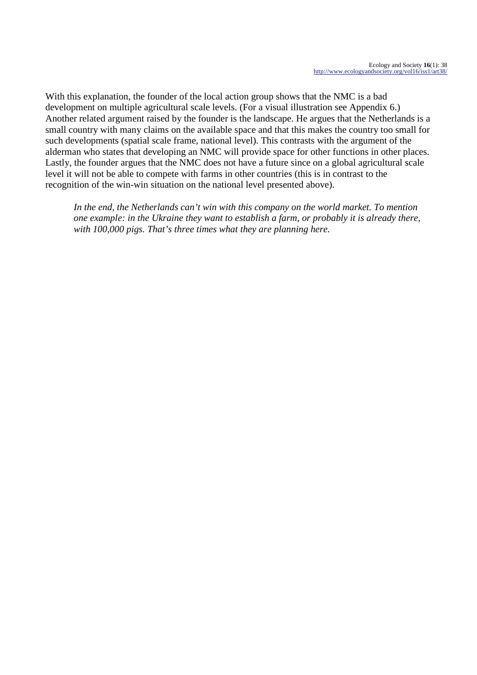With this explanation, the founder of the local action group shows that the NMC is a bad development on multiple agricultural scale levels. (For a visual illustration see Appendix 6.) Another related argument raised by the founder is the landscape. He argues that the Netherlands is a small country with many claims on the available space and that this makes the country too small for such developments (spatial scale frame, national level). This contrasts with the argument of the alderman who states that developing an NMC will provide space for other functions in other places. Lastly, the founder argues that the NMC does not have a future since on a global agricultural scale level it will not be able to compete with farms in other countries (this is in contrast to the recognition of the win-win situation on the national level presented above).

*In the end, the Netherlands can't win with this company on the world market. To mention one example: in the Ukraine they want to establish a farm, or probably it is already there, with 100,000 pigs. That's three times what they are planning here.*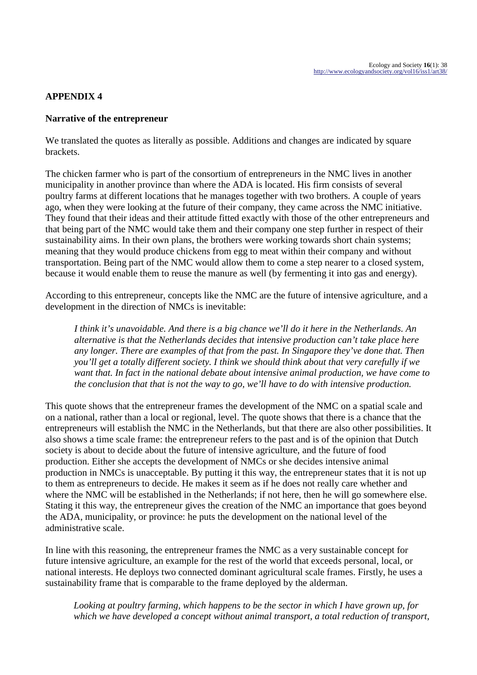## **APPENDIX 4**

### **Narrative of the entrepreneur**

We translated the quotes as literally as possible. Additions and changes are indicated by square brackets.

The chicken farmer who is part of the consortium of entrepreneurs in the NMC lives in another municipality in another province than where the ADA is located. His firm consists of several poultry farms at different locations that he manages together with two brothers. A couple of years ago, when they were looking at the future of their company, they came across the NMC initiative. They found that their ideas and their attitude fitted exactly with those of the other entrepreneurs and that being part of the NMC would take them and their company one step further in respect of their sustainability aims. In their own plans, the brothers were working towards short chain systems; meaning that they would produce chickens from egg to meat within their company and without transportation. Being part of the NMC would allow them to come a step nearer to a closed system, because it would enable them to reuse the manure as well (by fermenting it into gas and energy).

According to this entrepreneur, concepts like the NMC are the future of intensive agriculture, and a development in the direction of NMCs is inevitable:

*I think it's unavoidable. And there is a big chance we'll do it here in the Netherlands. An alternative is that the Netherlands decides that intensive production can't take place here any longer. There are examples of that from the past. In Singapore they've done that. Then you'll get a totally different society. I think we should think about that very carefully if we want that. In fact in the national debate about intensive animal production, we have come to the conclusion that that is not the way to go, we'll have to do with intensive production.* 

This quote shows that the entrepreneur frames the development of the NMC on a spatial scale and on a national, rather than a local or regional, level. The quote shows that there is a chance that the entrepreneurs will establish the NMC in the Netherlands, but that there are also other possibilities. It also shows a time scale frame: the entrepreneur refers to the past and is of the opinion that Dutch society is about to decide about the future of intensive agriculture, and the future of food production. Either she accepts the development of NMCs or she decides intensive animal production in NMCs is unacceptable. By putting it this way, the entrepreneur states that it is not up to them as entrepreneurs to decide. He makes it seem as if he does not really care whether and where the NMC will be established in the Netherlands; if not here, then he will go somewhere else. Stating it this way, the entrepreneur gives the creation of the NMC an importance that goes beyond the ADA, municipality, or province: he puts the development on the national level of the administrative scale.

In line with this reasoning, the entrepreneur frames the NMC as a very sustainable concept for future intensive agriculture, an example for the rest of the world that exceeds personal, local, or national interests. He deploys two connected dominant agricultural scale frames. Firstly, he uses a sustainability frame that is comparable to the frame deployed by the alderman.

*Looking at poultry farming, which happens to be the sector in which I have grown up, for which we have developed a concept without animal transport, a total reduction of transport,*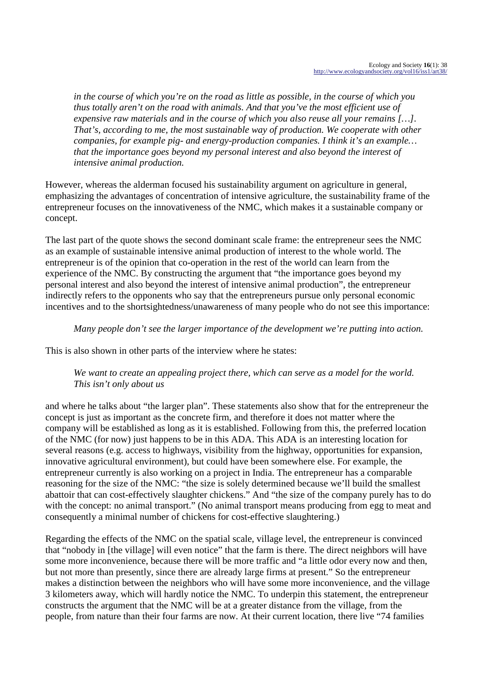*in the course of which you're on the road as little as possible, in the course of which you thus totally aren't on the road with animals. And that you've the most efficient use of expensive raw materials and in the course of which you also reuse all your remains […]. That's, according to me, the most sustainable way of production. We cooperate with other companies, for example pig- and energy-production companies. I think it's an example… that the importance goes beyond my personal interest and also beyond the interest of intensive animal production.* 

However, whereas the alderman focused his sustainability argument on agriculture in general, emphasizing the advantages of concentration of intensive agriculture, the sustainability frame of the entrepreneur focuses on the innovativeness of the NMC, which makes it a sustainable company or concept.

The last part of the quote shows the second dominant scale frame: the entrepreneur sees the NMC as an example of sustainable intensive animal production of interest to the whole world. The entrepreneur is of the opinion that co-operation in the rest of the world can learn from the experience of the NMC. By constructing the argument that "the importance goes beyond my personal interest and also beyond the interest of intensive animal production", the entrepreneur indirectly refers to the opponents who say that the entrepreneurs pursue only personal economic incentives and to the shortsightedness/unawareness of many people who do not see this importance:

## *Many people don't see the larger importance of the development we're putting into action.*

This is also shown in other parts of the interview where he states:

## *We want to create an appealing project there, which can serve as a model for the world. This isn't only about us*

and where he talks about "the larger plan". These statements also show that for the entrepreneur the concept is just as important as the concrete firm, and therefore it does not matter where the company will be established as long as it is established. Following from this, the preferred location of the NMC (for now) just happens to be in this ADA. This ADA is an interesting location for several reasons (e.g. access to highways, visibility from the highway, opportunities for expansion, innovative agricultural environment), but could have been somewhere else. For example, the entrepreneur currently is also working on a project in India. The entrepreneur has a comparable reasoning for the size of the NMC: "the size is solely determined because we'll build the smallest abattoir that can cost-effectively slaughter chickens." And "the size of the company purely has to do with the concept: no animal transport." (No animal transport means producing from egg to meat and consequently a minimal number of chickens for cost-effective slaughtering.)

Regarding the effects of the NMC on the spatial scale, village level, the entrepreneur is convinced that "nobody in [the village] will even notice" that the farm is there. The direct neighbors will have some more inconvenience, because there will be more traffic and "a little odor every now and then, but not more than presently, since there are already large firms at present." So the entrepreneur makes a distinction between the neighbors who will have some more inconvenience, and the village 3 kilometers away, which will hardly notice the NMC. To underpin this statement, the entrepreneur constructs the argument that the NMC will be at a greater distance from the village, from the people, from nature than their four farms are now. At their current location, there live "74 families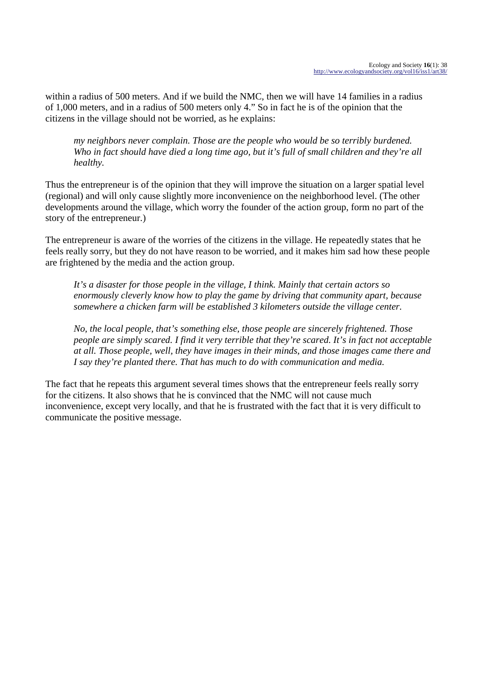within a radius of 500 meters. And if we build the NMC, then we will have 14 families in a radius of 1,000 meters, and in a radius of 500 meters only 4." So in fact he is of the opinion that the citizens in the village should not be worried, as he explains:

*my neighbors never complain. Those are the people who would be so terribly burdened. Who in fact should have died a long time ago, but it's full of small children and they're all healthy.* 

Thus the entrepreneur is of the opinion that they will improve the situation on a larger spatial level (regional) and will only cause slightly more inconvenience on the neighborhood level. (The other developments around the village, which worry the founder of the action group, form no part of the story of the entrepreneur.)

The entrepreneur is aware of the worries of the citizens in the village. He repeatedly states that he feels really sorry, but they do not have reason to be worried, and it makes him sad how these people are frightened by the media and the action group.

*It's a disaster for those people in the village, I think. Mainly that certain actors so enormously cleverly know how to play the game by driving that community apart, because somewhere a chicken farm will be established 3 kilometers outside the village center.* 

*No, the local people, that's something else, those people are sincerely frightened. Those people are simply scared. I find it very terrible that they're scared. It's in fact not acceptable at all. Those people, well, they have images in their minds, and those images came there and I say they're planted there. That has much to do with communication and media.* 

The fact that he repeats this argument several times shows that the entrepreneur feels really sorry for the citizens. It also shows that he is convinced that the NMC will not cause much inconvenience, except very locally, and that he is frustrated with the fact that it is very difficult to communicate the positive message.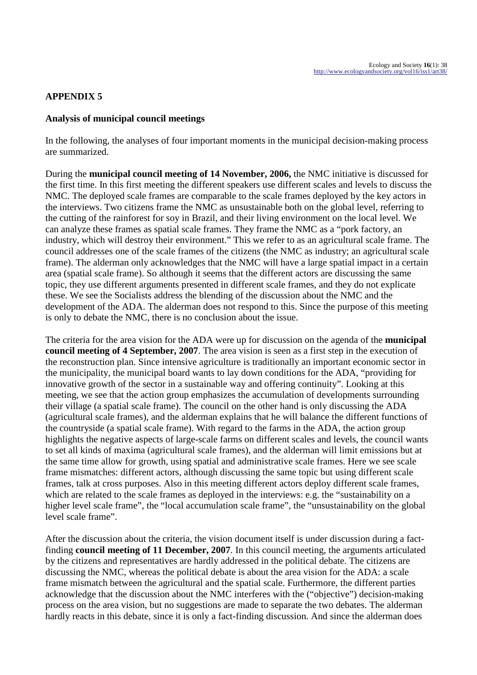## **APPENDIX 5**

### **Analysis of municipal council meetings**

In the following, the analyses of four important moments in the municipal decision-making process are summarized.

During the **municipal council meeting of 14 November, 2006,** the NMC initiative is discussed for the first time. In this first meeting the different speakers use different scales and levels to discuss the NMC. The deployed scale frames are comparable to the scale frames deployed by the key actors in the interviews. Two citizens frame the NMC as unsustainable both on the global level, referring to the cutting of the rainforest for soy in Brazil, and their living environment on the local level. We can analyze these frames as spatial scale frames. They frame the NMC as a "pork factory, an industry, which will destroy their environment." This we refer to as an agricultural scale frame. The council addresses one of the scale frames of the citizens (the NMC as industry; an agricultural scale frame). The alderman only acknowledges that the NMC will have a large spatial impact in a certain area (spatial scale frame). So although it seems that the different actors are discussing the same topic, they use different arguments presented in different scale frames, and they do not explicate these. We see the Socialists address the blending of the discussion about the NMC and the development of the ADA. The alderman does not respond to this. Since the purpose of this meeting is only to debate the NMC, there is no conclusion about the issue.

The criteria for the area vision for the ADA were up for discussion on the agenda of the **municipal council meeting of 4 September, 2007**. The area vision is seen as a first step in the execution of the reconstruction plan. Since intensive agriculture is traditionally an important economic sector in the municipality, the municipal board wants to lay down conditions for the ADA, "providing for innovative growth of the sector in a sustainable way and offering continuity". Looking at this meeting, we see that the action group emphasizes the accumulation of developments surrounding their village (a spatial scale frame). The council on the other hand is only discussing the ADA (agricultural scale frames), and the alderman explains that he will balance the different functions of the countryside (a spatial scale frame). With regard to the farms in the ADA, the action group highlights the negative aspects of large-scale farms on different scales and levels, the council wants to set all kinds of maxima (agricultural scale frames), and the alderman will limit emissions but at the same time allow for growth, using spatial and administrative scale frames. Here we see scale frame mismatches: different actors, although discussing the same topic but using different scale frames, talk at cross purposes. Also in this meeting different actors deploy different scale frames, which are related to the scale frames as deployed in the interviews: e.g. the "sustainability on a higher level scale frame", the "local accumulation scale frame", the "unsustainability on the global level scale frame".

After the discussion about the criteria, the vision document itself is under discussion during a factfinding **council meeting of 11 December, 2007**. In this council meeting, the arguments articulated by the citizens and representatives are hardly addressed in the political debate. The citizens are discussing the NMC, whereas the political debate is about the area vision for the ADA: a scale frame mismatch between the agricultural and the spatial scale. Furthermore, the different parties acknowledge that the discussion about the NMC interferes with the ("objective") decision-making process on the area vision, but no suggestions are made to separate the two debates. The alderman hardly reacts in this debate, since it is only a fact-finding discussion. And since the alderman does